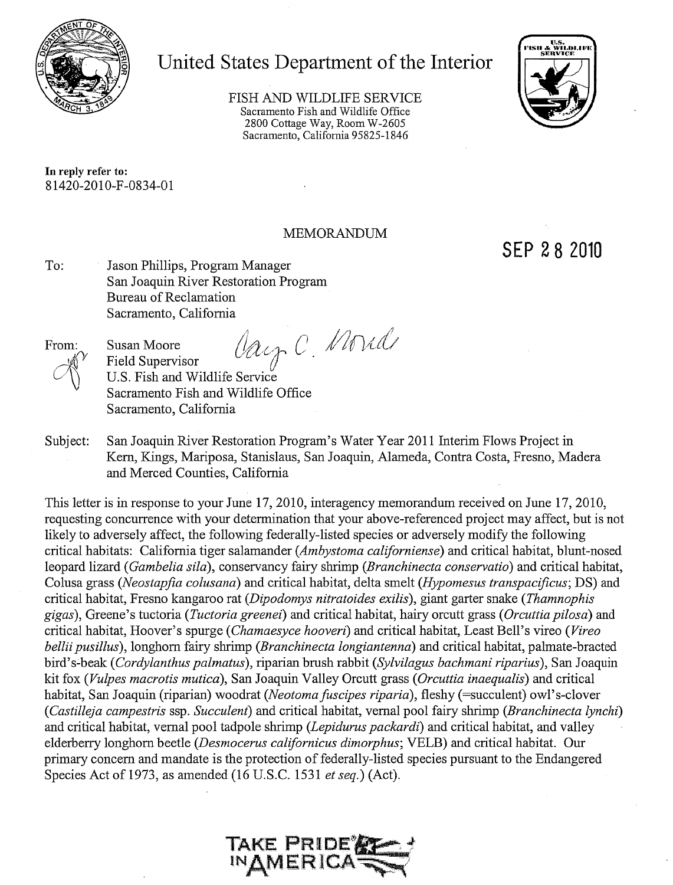

# United States Department of the Interior

FISH AND WILDLIFE SERVICE Sacramento Fish and Wildlife Office 2800 Cottage Way, Room W-2605 Sacramento, California 95825-1846



In reply refer to: 81420-2010-F-0834-01

# **MEMORANDUM**

SEP 28 2010

To: Jason Phillips, Program Manager San Joaquin River Restoration Program Bureau of Reclamation Sacramento, California

From:

Vay C. Monde **Susan Moore Field Supervisor** U.S. Fish and Wildlife Service Sacramento Fish and Wildlife Office Sacramento, California

San Joaquin River Restoration Program's Water Year 2011 Interim Flows Project in Subject: Kern, Kings, Mariposa, Stanislaus, San Joaquin, Alameda, Contra Costa, Fresno, Madera and Merced Counties, California

This letter is in response to your June 17, 2010, interagency memorandum received on June 17, 2010, requesting concurrence with your determination that your above-referenced project may affect, but is not likely to adversely affect, the following federally-listed species or adversely modify the following critical habitats: California tiger salamander (Ambystoma californiense) and critical habitat, blunt-nosed leopard lizard (Gambelia sila), conservancy fairy shrimp (Branchinecta conservatio) and critical habitat, Colusa grass (Neostapfia colusana) and critical habitat, delta smelt (Hypomesus transpacificus; DS) and critical habitat, Fresno kangaroo rat (Dipodomys nitratoides exilis), giant garter snake (Thamnophis gigas), Greene's tuctoria (Tuctoria greenei) and critical habitat, hairy orcutt grass (Orcuttia pilosa) and critical habitat, Hoover's spurge (Chamaesyce hooveri) and critical habitat, Least Bell's vireo (Vireo bellii pusillus), longhorn fairy shrimp (Branchinecta longiantenna) and critical habitat, palmate-bracted bird's-beak (Cordylanthus palmatus), riparian brush rabbit (Sylvilagus bachmani riparius), San Joaquin kit fox (Vulpes macrotis mutica), San Joaquin Valley Orcutt grass (Orcuttia inaequalis) and critical habitat, San Joaquin (riparian) woodrat (Neotoma fuscipes riparia), fleshy (=succulent) owl's-clover (Castilleja campestris ssp. Succulent) and critical habitat, vernal pool fairy shrimp (Branchinecta lynchi) and critical habitat, vernal pool tadpole shrimp (Lepidurus packardi) and critical habitat, and valley elderberry longhorn beetle (Desmocerus californicus dimorphus; VELB) and critical habitat. Our primary concern and mandate is the protection of federally-listed species pursuant to the Endangered Species Act of 1973, as amended (16 U.S.C. 1531 et seq.) (Act).

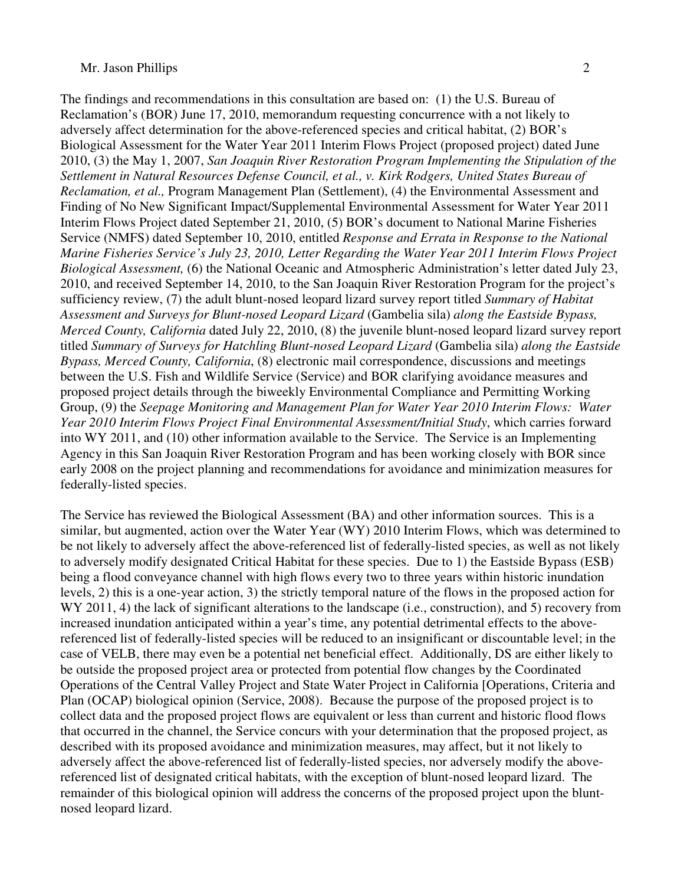The findings and recommendations in this consultation are based on: (1) the U.S. Bureau of Reclamation's (BOR) June 17, 2010, memorandum requesting concurrence with a not likely to adversely affect determination for the above-referenced species and critical habitat, (2) BOR's Biological Assessment for the Water Year 2011 Interim Flows Project (proposed project) dated June 2010, (3) the May 1, 2007, *San Joaquin River Restoration Program Implementing the Stipulation of the Settlement in Natural Resources Defense Council, et al., v. Kirk Rodgers, United States Bureau of Reclamation, et al.,* Program Management Plan (Settlement), (4) the Environmental Assessment and Finding of No New Significant Impact/Supplemental Environmental Assessment for Water Year 2011 Interim Flows Project dated September 21, 2010, (5) BOR's document to National Marine Fisheries Service (NMFS) dated September 10, 2010, entitled *Response and Errata in Response to the National Marine Fisheries Service's July 23, 2010, Letter Regarding the Water Year 2011 Interim Flows Project Biological Assessment,* (6) the National Oceanic and Atmospheric Administration's letter dated July 23, 2010, and received September 14, 2010, to the San Joaquin River Restoration Program for the project's sufficiency review, (7) the adult blunt-nosed leopard lizard survey report titled *Summary of Habitat Assessment and Surveys for Blunt-nosed Leopard Lizard* (Gambelia sila) *along the Eastside Bypass, Merced County, California* dated July 22, 2010, (8) the juvenile blunt-nosed leopard lizard survey report titled *Summary of Surveys for Hatchling Blunt-nosed Leopard Lizard* (Gambelia sila) *along the Eastside Bypass, Merced County, California*, (8) electronic mail correspondence, discussions and meetings between the U.S. Fish and Wildlife Service (Service) and BOR clarifying avoidance measures and proposed project details through the biweekly Environmental Compliance and Permitting Working Group, (9) the *Seepage Monitoring and Management Plan for Water Year 2010 Interim Flows: Water Year 2010 Interim Flows Project Final Environmental Assessment/Initial Study*, which carries forward into WY 2011, and (10) other information available to the Service. The Service is an Implementing Agency in this San Joaquin River Restoration Program and has been working closely with BOR since early 2008 on the project planning and recommendations for avoidance and minimization measures for federally-listed species.

The Service has reviewed the Biological Assessment (BA) and other information sources. This is a similar, but augmented, action over the Water Year (WY) 2010 Interim Flows, which was determined to be not likely to adversely affect the above-referenced list of federally-listed species, as well as not likely to adversely modify designated Critical Habitat for these species. Due to 1) the Eastside Bypass (ESB) being a flood conveyance channel with high flows every two to three years within historic inundation levels, 2) this is a one-year action, 3) the strictly temporal nature of the flows in the proposed action for WY 2011, 4) the lack of significant alterations to the landscape (i.e., construction), and 5) recovery from increased inundation anticipated within a year's time, any potential detrimental effects to the abovereferenced list of federally-listed species will be reduced to an insignificant or discountable level; in the case of VELB, there may even be a potential net beneficial effect. Additionally, DS are either likely to be outside the proposed project area or protected from potential flow changes by the Coordinated Operations of the Central Valley Project and State Water Project in California [Operations, Criteria and Plan (OCAP) biological opinion (Service, 2008). Because the purpose of the proposed project is to collect data and the proposed project flows are equivalent or less than current and historic flood flows that occurred in the channel, the Service concurs with your determination that the proposed project, as described with its proposed avoidance and minimization measures, may affect, but it not likely to adversely affect the above-referenced list of federally-listed species, nor adversely modify the abovereferenced list of designated critical habitats, with the exception of blunt-nosed leopard lizard. The remainder of this biological opinion will address the concerns of the proposed project upon the bluntnosed leopard lizard.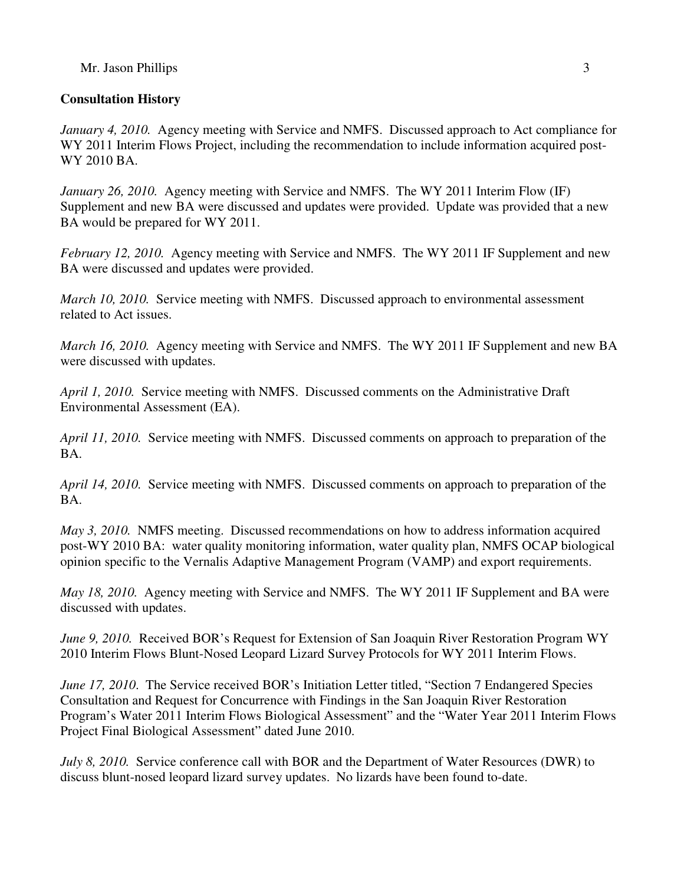# **Consultation History**

*January 4, 2010.* Agency meeting with Service and NMFS. Discussed approach to Act compliance for WY 2011 Interim Flows Project, including the recommendation to include information acquired post-WY 2010 BA.

*January 26, 2010.* Agency meeting with Service and NMFS. The WY 2011 Interim Flow (IF) Supplement and new BA were discussed and updates were provided. Update was provided that a new BA would be prepared for WY 2011.

*February 12, 2010.* Agency meeting with Service and NMFS. The WY 2011 IF Supplement and new BA were discussed and updates were provided.

*March 10, 2010.* Service meeting with NMFS. Discussed approach to environmental assessment related to Act issues.

*March 16, 2010.* Agency meeting with Service and NMFS. The WY 2011 IF Supplement and new BA were discussed with updates.

*April 1, 2010.* Service meeting with NMFS. Discussed comments on the Administrative Draft Environmental Assessment (EA).

*April 11, 2010.* Service meeting with NMFS. Discussed comments on approach to preparation of the BA.

*April 14, 2010.* Service meeting with NMFS. Discussed comments on approach to preparation of the BA.

*May 3, 2010.* NMFS meeting. Discussed recommendations on how to address information acquired post-WY 2010 BA: water quality monitoring information, water quality plan, NMFS OCAP biological opinion specific to the Vernalis Adaptive Management Program (VAMP) and export requirements.

*May 18, 2010.* Agency meeting with Service and NMFS. The WY 2011 IF Supplement and BA were discussed with updates.

*June 9, 2010.* Received BOR's Request for Extension of San Joaquin River Restoration Program WY 2010 Interim Flows Blunt-Nosed Leopard Lizard Survey Protocols for WY 2011 Interim Flows.

*June 17, 2010*. The Service received BOR's Initiation Letter titled, "Section 7 Endangered Species Consultation and Request for Concurrence with Findings in the San Joaquin River Restoration Program's Water 2011 Interim Flows Biological Assessment" and the "Water Year 2011 Interim Flows Project Final Biological Assessment" dated June 2010.

*July 8, 2010.* Service conference call with BOR and the Department of Water Resources (DWR) to discuss blunt-nosed leopard lizard survey updates. No lizards have been found to-date.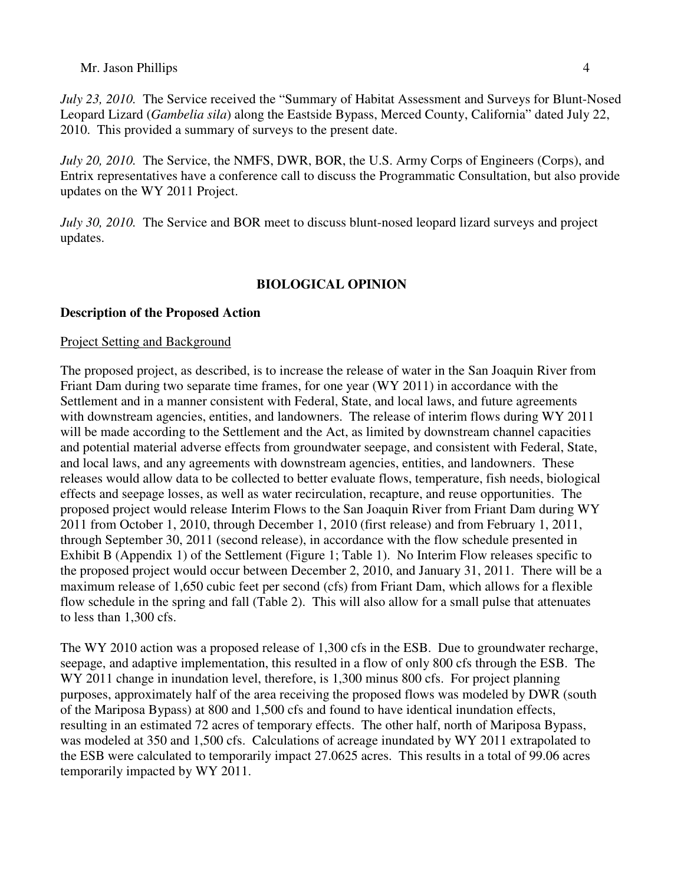*July 23, 2010.* The Service received the "Summary of Habitat Assessment and Surveys for Blunt-Nosed Leopard Lizard (*Gambelia sila*) along the Eastside Bypass, Merced County, California" dated July 22, 2010. This provided a summary of surveys to the present date.

*July 20, 2010.* The Service, the NMFS, DWR, BOR, the U.S. Army Corps of Engineers (Corps), and Entrix representatives have a conference call to discuss the Programmatic Consultation, but also provide updates on the WY 2011 Project.

*July 30, 2010.* The Service and BOR meet to discuss blunt-nosed leopard lizard surveys and project updates.

# **BIOLOGICAL OPINION**

# **Description of the Proposed Action**

# Project Setting and Background

The proposed project, as described, is to increase the release of water in the San Joaquin River from Friant Dam during two separate time frames, for one year (WY 2011) in accordance with the Settlement and in a manner consistent with Federal, State, and local laws, and future agreements with downstream agencies, entities, and landowners. The release of interim flows during WY 2011 will be made according to the Settlement and the Act, as limited by downstream channel capacities and potential material adverse effects from groundwater seepage, and consistent with Federal, State, and local laws, and any agreements with downstream agencies, entities, and landowners. These releases would allow data to be collected to better evaluate flows, temperature, fish needs, biological effects and seepage losses, as well as water recirculation, recapture, and reuse opportunities. The proposed project would release Interim Flows to the San Joaquin River from Friant Dam during WY 2011 from October 1, 2010, through December 1, 2010 (first release) and from February 1, 2011, through September 30, 2011 (second release), in accordance with the flow schedule presented in Exhibit B (Appendix 1) of the Settlement (Figure 1; Table 1). No Interim Flow releases specific to the proposed project would occur between December 2, 2010, and January 31, 2011. There will be a maximum release of 1,650 cubic feet per second (cfs) from Friant Dam, which allows for a flexible flow schedule in the spring and fall (Table 2). This will also allow for a small pulse that attenuates to less than 1,300 cfs.

The WY 2010 action was a proposed release of 1,300 cfs in the ESB. Due to groundwater recharge, seepage, and adaptive implementation, this resulted in a flow of only 800 cfs through the ESB. The WY 2011 change in inundation level, therefore, is 1,300 minus 800 cfs. For project planning purposes, approximately half of the area receiving the proposed flows was modeled by DWR (south of the Mariposa Bypass) at 800 and 1,500 cfs and found to have identical inundation effects, resulting in an estimated 72 acres of temporary effects. The other half, north of Mariposa Bypass, was modeled at 350 and 1,500 cfs. Calculations of acreage inundated by WY 2011 extrapolated to the ESB were calculated to temporarily impact 27.0625 acres. This results in a total of 99.06 acres temporarily impacted by WY 2011.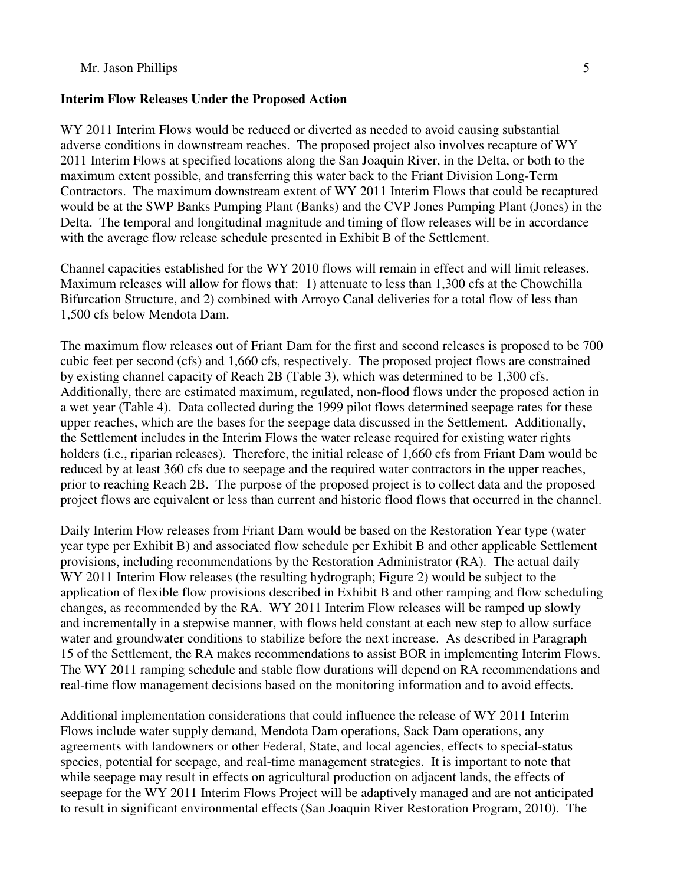#### **Interim Flow Releases Under the Proposed Action**

WY 2011 Interim Flows would be reduced or diverted as needed to avoid causing substantial adverse conditions in downstream reaches. The proposed project also involves recapture of WY 2011 Interim Flows at specified locations along the San Joaquin River, in the Delta, or both to the maximum extent possible, and transferring this water back to the Friant Division Long-Term Contractors. The maximum downstream extent of WY 2011 Interim Flows that could be recaptured would be at the SWP Banks Pumping Plant (Banks) and the CVP Jones Pumping Plant (Jones) in the Delta. The temporal and longitudinal magnitude and timing of flow releases will be in accordance with the average flow release schedule presented in Exhibit B of the Settlement.

Channel capacities established for the WY 2010 flows will remain in effect and will limit releases. Maximum releases will allow for flows that: 1) attenuate to less than 1,300 cfs at the Chowchilla Bifurcation Structure, and 2) combined with Arroyo Canal deliveries for a total flow of less than 1,500 cfs below Mendota Dam.

The maximum flow releases out of Friant Dam for the first and second releases is proposed to be 700 cubic feet per second (cfs) and 1,660 cfs, respectively. The proposed project flows are constrained by existing channel capacity of Reach 2B (Table 3), which was determined to be 1,300 cfs. Additionally, there are estimated maximum, regulated, non-flood flows under the proposed action in a wet year (Table 4). Data collected during the 1999 pilot flows determined seepage rates for these upper reaches, which are the bases for the seepage data discussed in the Settlement. Additionally, the Settlement includes in the Interim Flows the water release required for existing water rights holders (i.e., riparian releases). Therefore, the initial release of 1,660 cfs from Friant Dam would be reduced by at least 360 cfs due to seepage and the required water contractors in the upper reaches, prior to reaching Reach 2B. The purpose of the proposed project is to collect data and the proposed project flows are equivalent or less than current and historic flood flows that occurred in the channel.

Daily Interim Flow releases from Friant Dam would be based on the Restoration Year type (water year type per Exhibit B) and associated flow schedule per Exhibit B and other applicable Settlement provisions, including recommendations by the Restoration Administrator (RA). The actual daily WY 2011 Interim Flow releases (the resulting hydrograph; Figure 2) would be subject to the application of flexible flow provisions described in Exhibit B and other ramping and flow scheduling changes, as recommended by the RA. WY 2011 Interim Flow releases will be ramped up slowly and incrementally in a stepwise manner, with flows held constant at each new step to allow surface water and groundwater conditions to stabilize before the next increase. As described in Paragraph 15 of the Settlement, the RA makes recommendations to assist BOR in implementing Interim Flows. The WY 2011 ramping schedule and stable flow durations will depend on RA recommendations and real-time flow management decisions based on the monitoring information and to avoid effects.

Additional implementation considerations that could influence the release of WY 2011 Interim Flows include water supply demand, Mendota Dam operations, Sack Dam operations, any agreements with landowners or other Federal, State, and local agencies, effects to special-status species, potential for seepage, and real-time management strategies. It is important to note that while seepage may result in effects on agricultural production on adjacent lands, the effects of seepage for the WY 2011 Interim Flows Project will be adaptively managed and are not anticipated to result in significant environmental effects (San Joaquin River Restoration Program, 2010). The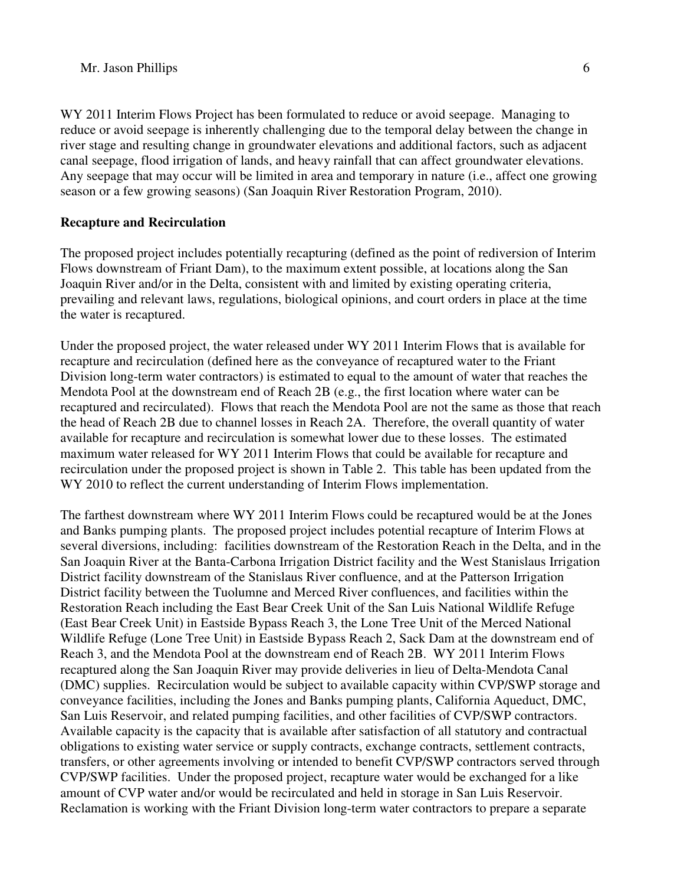WY 2011 Interim Flows Project has been formulated to reduce or avoid seepage. Managing to reduce or avoid seepage is inherently challenging due to the temporal delay between the change in river stage and resulting change in groundwater elevations and additional factors, such as adjacent canal seepage, flood irrigation of lands, and heavy rainfall that can affect groundwater elevations. Any seepage that may occur will be limited in area and temporary in nature (i.e., affect one growing season or a few growing seasons) (San Joaquin River Restoration Program, 2010).

### **Recapture and Recirculation**

The proposed project includes potentially recapturing (defined as the point of rediversion of Interim Flows downstream of Friant Dam), to the maximum extent possible, at locations along the San Joaquin River and/or in the Delta, consistent with and limited by existing operating criteria, prevailing and relevant laws, regulations, biological opinions, and court orders in place at the time the water is recaptured.

Under the proposed project, the water released under WY 2011 Interim Flows that is available for recapture and recirculation (defined here as the conveyance of recaptured water to the Friant Division long-term water contractors) is estimated to equal to the amount of water that reaches the Mendota Pool at the downstream end of Reach 2B (e.g., the first location where water can be recaptured and recirculated). Flows that reach the Mendota Pool are not the same as those that reach the head of Reach 2B due to channel losses in Reach 2A. Therefore, the overall quantity of water available for recapture and recirculation is somewhat lower due to these losses. The estimated maximum water released for WY 2011 Interim Flows that could be available for recapture and recirculation under the proposed project is shown in Table 2. This table has been updated from the WY 2010 to reflect the current understanding of Interim Flows implementation.

The farthest downstream where WY 2011 Interim Flows could be recaptured would be at the Jones and Banks pumping plants. The proposed project includes potential recapture of Interim Flows at several diversions, including: facilities downstream of the Restoration Reach in the Delta, and in the San Joaquin River at the Banta-Carbona Irrigation District facility and the West Stanislaus Irrigation District facility downstream of the Stanislaus River confluence, and at the Patterson Irrigation District facility between the Tuolumne and Merced River confluences, and facilities within the Restoration Reach including the East Bear Creek Unit of the San Luis National Wildlife Refuge (East Bear Creek Unit) in Eastside Bypass Reach 3, the Lone Tree Unit of the Merced National Wildlife Refuge (Lone Tree Unit) in Eastside Bypass Reach 2, Sack Dam at the downstream end of Reach 3, and the Mendota Pool at the downstream end of Reach 2B. WY 2011 Interim Flows recaptured along the San Joaquin River may provide deliveries in lieu of Delta-Mendota Canal (DMC) supplies. Recirculation would be subject to available capacity within CVP/SWP storage and conveyance facilities, including the Jones and Banks pumping plants, California Aqueduct, DMC, San Luis Reservoir, and related pumping facilities, and other facilities of CVP/SWP contractors. Available capacity is the capacity that is available after satisfaction of all statutory and contractual obligations to existing water service or supply contracts, exchange contracts, settlement contracts, transfers, or other agreements involving or intended to benefit CVP/SWP contractors served through CVP/SWP facilities. Under the proposed project, recapture water would be exchanged for a like amount of CVP water and/or would be recirculated and held in storage in San Luis Reservoir. Reclamation is working with the Friant Division long-term water contractors to prepare a separate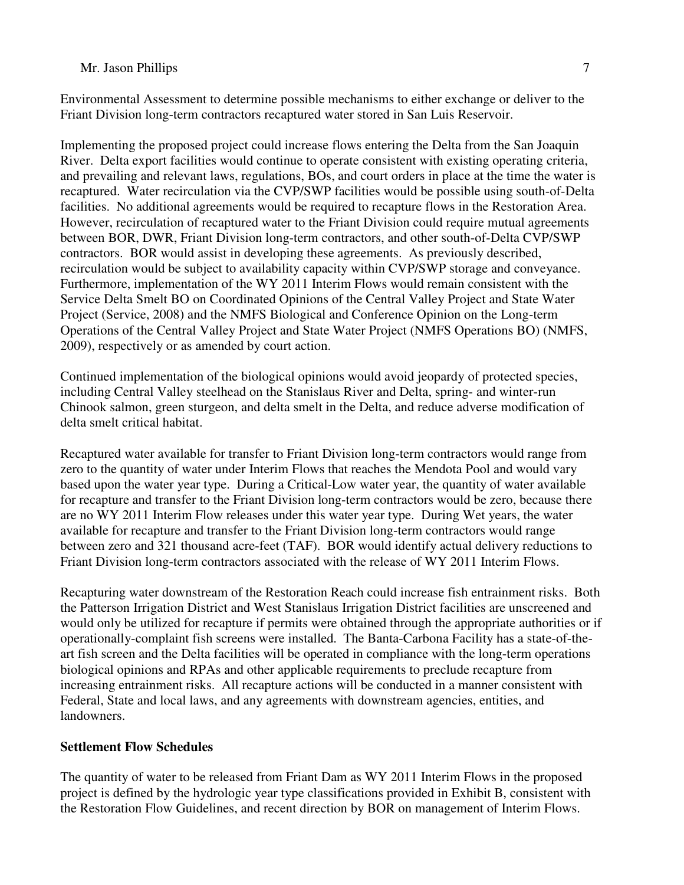Environmental Assessment to determine possible mechanisms to either exchange or deliver to the Friant Division long-term contractors recaptured water stored in San Luis Reservoir.

Implementing the proposed project could increase flows entering the Delta from the San Joaquin River. Delta export facilities would continue to operate consistent with existing operating criteria, and prevailing and relevant laws, regulations, BOs, and court orders in place at the time the water is recaptured. Water recirculation via the CVP/SWP facilities would be possible using south-of-Delta facilities. No additional agreements would be required to recapture flows in the Restoration Area. However, recirculation of recaptured water to the Friant Division could require mutual agreements between BOR, DWR, Friant Division long-term contractors, and other south-of-Delta CVP/SWP contractors. BOR would assist in developing these agreements. As previously described, recirculation would be subject to availability capacity within CVP/SWP storage and conveyance. Furthermore, implementation of the WY 2011 Interim Flows would remain consistent with the Service Delta Smelt BO on Coordinated Opinions of the Central Valley Project and State Water Project (Service, 2008) and the NMFS Biological and Conference Opinion on the Long-term Operations of the Central Valley Project and State Water Project (NMFS Operations BO) (NMFS, 2009), respectively or as amended by court action.

Continued implementation of the biological opinions would avoid jeopardy of protected species, including Central Valley steelhead on the Stanislaus River and Delta, spring- and winter-run Chinook salmon, green sturgeon, and delta smelt in the Delta, and reduce adverse modification of delta smelt critical habitat.

Recaptured water available for transfer to Friant Division long-term contractors would range from zero to the quantity of water under Interim Flows that reaches the Mendota Pool and would vary based upon the water year type. During a Critical-Low water year, the quantity of water available for recapture and transfer to the Friant Division long-term contractors would be zero, because there are no WY 2011 Interim Flow releases under this water year type. During Wet years, the water available for recapture and transfer to the Friant Division long-term contractors would range between zero and 321 thousand acre-feet (TAF). BOR would identify actual delivery reductions to Friant Division long-term contractors associated with the release of WY 2011 Interim Flows.

Recapturing water downstream of the Restoration Reach could increase fish entrainment risks. Both the Patterson Irrigation District and West Stanislaus Irrigation District facilities are unscreened and would only be utilized for recapture if permits were obtained through the appropriate authorities or if operationally-complaint fish screens were installed. The Banta-Carbona Facility has a state-of-theart fish screen and the Delta facilities will be operated in compliance with the long-term operations biological opinions and RPAs and other applicable requirements to preclude recapture from increasing entrainment risks. All recapture actions will be conducted in a manner consistent with Federal, State and local laws, and any agreements with downstream agencies, entities, and landowners.

# **Settlement Flow Schedules**

The quantity of water to be released from Friant Dam as WY 2011 Interim Flows in the proposed project is defined by the hydrologic year type classifications provided in Exhibit B, consistent with the Restoration Flow Guidelines, and recent direction by BOR on management of Interim Flows.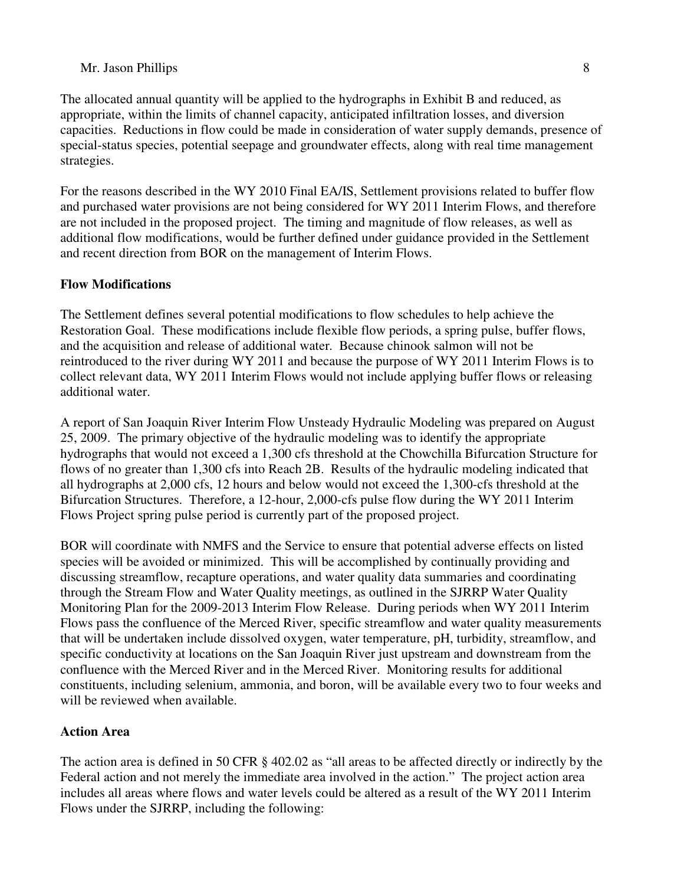The allocated annual quantity will be applied to the hydrographs in Exhibit B and reduced, as appropriate, within the limits of channel capacity, anticipated infiltration losses, and diversion capacities. Reductions in flow could be made in consideration of water supply demands, presence of special-status species, potential seepage and groundwater effects, along with real time management strategies.

For the reasons described in the WY 2010 Final EA/IS, Settlement provisions related to buffer flow and purchased water provisions are not being considered for WY 2011 Interim Flows, and therefore are not included in the proposed project. The timing and magnitude of flow releases, as well as additional flow modifications, would be further defined under guidance provided in the Settlement and recent direction from BOR on the management of Interim Flows.

### **Flow Modifications**

The Settlement defines several potential modifications to flow schedules to help achieve the Restoration Goal. These modifications include flexible flow periods, a spring pulse, buffer flows, and the acquisition and release of additional water. Because chinook salmon will not be reintroduced to the river during WY 2011 and because the purpose of WY 2011 Interim Flows is to collect relevant data, WY 2011 Interim Flows would not include applying buffer flows or releasing additional water.

A report of San Joaquin River Interim Flow Unsteady Hydraulic Modeling was prepared on August 25, 2009. The primary objective of the hydraulic modeling was to identify the appropriate hydrographs that would not exceed a 1,300 cfs threshold at the Chowchilla Bifurcation Structure for flows of no greater than 1,300 cfs into Reach 2B. Results of the hydraulic modeling indicated that all hydrographs at 2,000 cfs, 12 hours and below would not exceed the 1,300-cfs threshold at the Bifurcation Structures. Therefore, a 12-hour, 2,000-cfs pulse flow during the WY 2011 Interim Flows Project spring pulse period is currently part of the proposed project.

BOR will coordinate with NMFS and the Service to ensure that potential adverse effects on listed species will be avoided or minimized. This will be accomplished by continually providing and discussing streamflow, recapture operations, and water quality data summaries and coordinating through the Stream Flow and Water Quality meetings, as outlined in the SJRRP Water Quality Monitoring Plan for the 2009-2013 Interim Flow Release. During periods when WY 2011 Interim Flows pass the confluence of the Merced River, specific streamflow and water quality measurements that will be undertaken include dissolved oxygen, water temperature, pH, turbidity, streamflow, and specific conductivity at locations on the San Joaquin River just upstream and downstream from the confluence with the Merced River and in the Merced River. Monitoring results for additional constituents, including selenium, ammonia, and boron, will be available every two to four weeks and will be reviewed when available.

# **Action Area**

The action area is defined in 50 CFR § 402.02 as "all areas to be affected directly or indirectly by the Federal action and not merely the immediate area involved in the action." The project action area includes all areas where flows and water levels could be altered as a result of the WY 2011 Interim Flows under the SJRRP, including the following: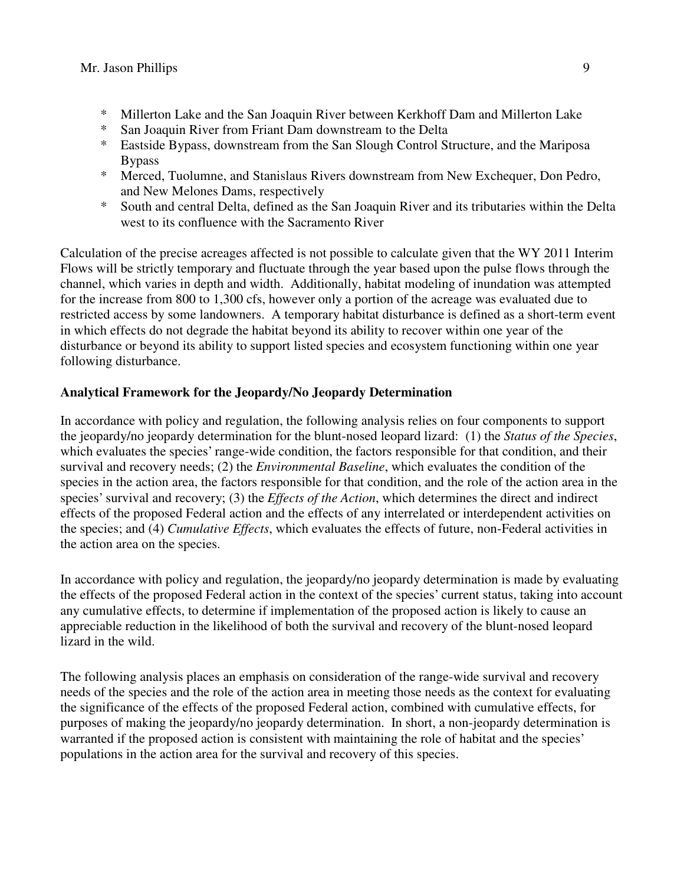- \* Millerton Lake and the San Joaquin River between Kerkhoff Dam and Millerton Lake
- \* San Joaquin River from Friant Dam downstream to the Delta
- \* Eastside Bypass, downstream from the San Slough Control Structure, and the Mariposa Bypass
- \* Merced, Tuolumne, and Stanislaus Rivers downstream from New Exchequer, Don Pedro, and New Melones Dams, respectively
- \* South and central Delta, defined as the San Joaquin River and its tributaries within the Delta west to its confluence with the Sacramento River

Calculation of the precise acreages affected is not possible to calculate given that the WY 2011 Interim Flows will be strictly temporary and fluctuate through the year based upon the pulse flows through the channel, which varies in depth and width. Additionally, habitat modeling of inundation was attempted for the increase from 800 to 1,300 cfs, however only a portion of the acreage was evaluated due to restricted access by some landowners. A temporary habitat disturbance is defined as a short-term event in which effects do not degrade the habitat beyond its ability to recover within one year of the disturbance or beyond its ability to support listed species and ecosystem functioning within one year following disturbance.

# **Analytical Framework for the Jeopardy/No Jeopardy Determination**

In accordance with policy and regulation, the following analysis relies on four components to support the jeopardy/no jeopardy determination for the blunt-nosed leopard lizard: (1) the *Status of the Species*, which evaluates the species' range-wide condition, the factors responsible for that condition, and their survival and recovery needs; (2) the *Environmental Baseline*, which evaluates the condition of the species in the action area, the factors responsible for that condition, and the role of the action area in the species' survival and recovery; (3) the *Effects of the Action*, which determines the direct and indirect effects of the proposed Federal action and the effects of any interrelated or interdependent activities on the species; and (4) *Cumulative Effects*, which evaluates the effects of future, non-Federal activities in the action area on the species.

In accordance with policy and regulation, the jeopardy/no jeopardy determination is made by evaluating the effects of the proposed Federal action in the context of the species' current status, taking into account any cumulative effects, to determine if implementation of the proposed action is likely to cause an appreciable reduction in the likelihood of both the survival and recovery of the blunt-nosed leopard lizard in the wild.

The following analysis places an emphasis on consideration of the range-wide survival and recovery needs of the species and the role of the action area in meeting those needs as the context for evaluating the significance of the effects of the proposed Federal action, combined with cumulative effects, for purposes of making the jeopardy/no jeopardy determination. In short, a non-jeopardy determination is warranted if the proposed action is consistent with maintaining the role of habitat and the species' populations in the action area for the survival and recovery of this species.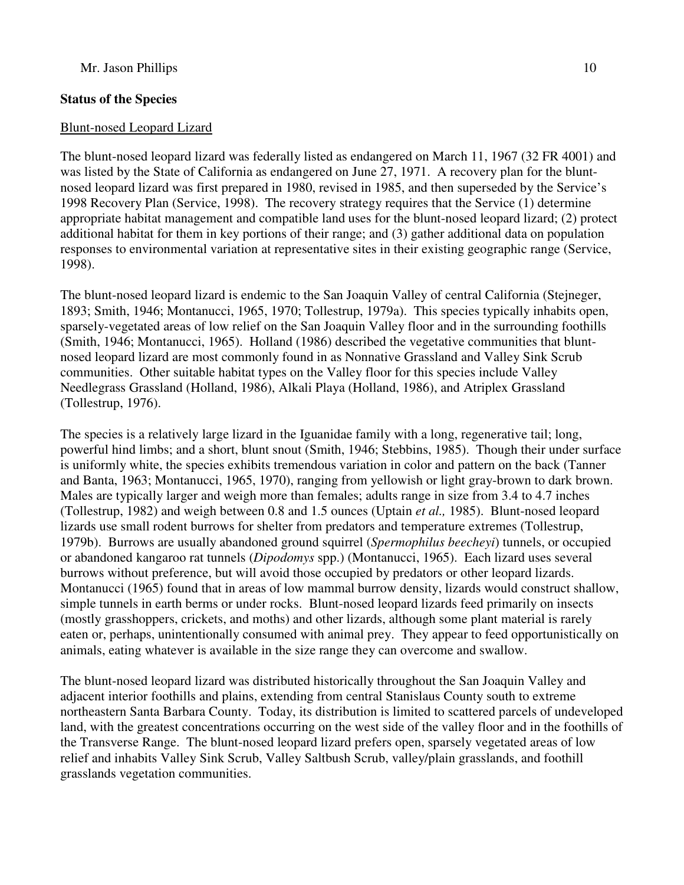# **Status of the Species**

### Blunt-nosed Leopard Lizard

The blunt-nosed leopard lizard was federally listed as endangered on March 11, 1967 (32 FR 4001) and was listed by the State of California as endangered on June 27, 1971. A recovery plan for the bluntnosed leopard lizard was first prepared in 1980, revised in 1985, and then superseded by the Service's 1998 Recovery Plan (Service, 1998). The recovery strategy requires that the Service (1) determine appropriate habitat management and compatible land uses for the blunt-nosed leopard lizard; (2) protect additional habitat for them in key portions of their range; and (3) gather additional data on population responses to environmental variation at representative sites in their existing geographic range (Service, 1998).

The blunt-nosed leopard lizard is endemic to the San Joaquin Valley of central California (Stejneger, 1893; Smith, 1946; Montanucci, 1965, 1970; Tollestrup, 1979a). This species typically inhabits open, sparsely-vegetated areas of low relief on the San Joaquin Valley floor and in the surrounding foothills (Smith, 1946; Montanucci, 1965). Holland (1986) described the vegetative communities that bluntnosed leopard lizard are most commonly found in as Nonnative Grassland and Valley Sink Scrub communities. Other suitable habitat types on the Valley floor for this species include Valley Needlegrass Grassland (Holland, 1986), Alkali Playa (Holland, 1986), and Atriplex Grassland (Tollestrup, 1976).

The species is a relatively large lizard in the Iguanidae family with a long, regenerative tail; long, powerful hind limbs; and a short, blunt snout (Smith, 1946; Stebbins, 1985). Though their under surface is uniformly white, the species exhibits tremendous variation in color and pattern on the back (Tanner and Banta, 1963; Montanucci, 1965, 1970), ranging from yellowish or light gray-brown to dark brown. Males are typically larger and weigh more than females; adults range in size from 3.4 to 4.7 inches (Tollestrup, 1982) and weigh between 0.8 and 1.5 ounces (Uptain *et al.,* 1985). Blunt-nosed leopard lizards use small rodent burrows for shelter from predators and temperature extremes (Tollestrup, 1979b). Burrows are usually abandoned ground squirrel (*Spermophilus beecheyi*) tunnels, or occupied or abandoned kangaroo rat tunnels (*Dipodomys* spp.) (Montanucci, 1965). Each lizard uses several burrows without preference, but will avoid those occupied by predators or other leopard lizards. Montanucci (1965) found that in areas of low mammal burrow density, lizards would construct shallow, simple tunnels in earth berms or under rocks. Blunt-nosed leopard lizards feed primarily on insects (mostly grasshoppers, crickets, and moths) and other lizards, although some plant material is rarely eaten or, perhaps, unintentionally consumed with animal prey. They appear to feed opportunistically on animals, eating whatever is available in the size range they can overcome and swallow.

The blunt-nosed leopard lizard was distributed historically throughout the San Joaquin Valley and adjacent interior foothills and plains, extending from central Stanislaus County south to extreme northeastern Santa Barbara County. Today, its distribution is limited to scattered parcels of undeveloped land, with the greatest concentrations occurring on the west side of the valley floor and in the foothills of the Transverse Range. The blunt-nosed leopard lizard prefers open, sparsely vegetated areas of low relief and inhabits Valley Sink Scrub, Valley Saltbush Scrub, valley/plain grasslands, and foothill grasslands vegetation communities.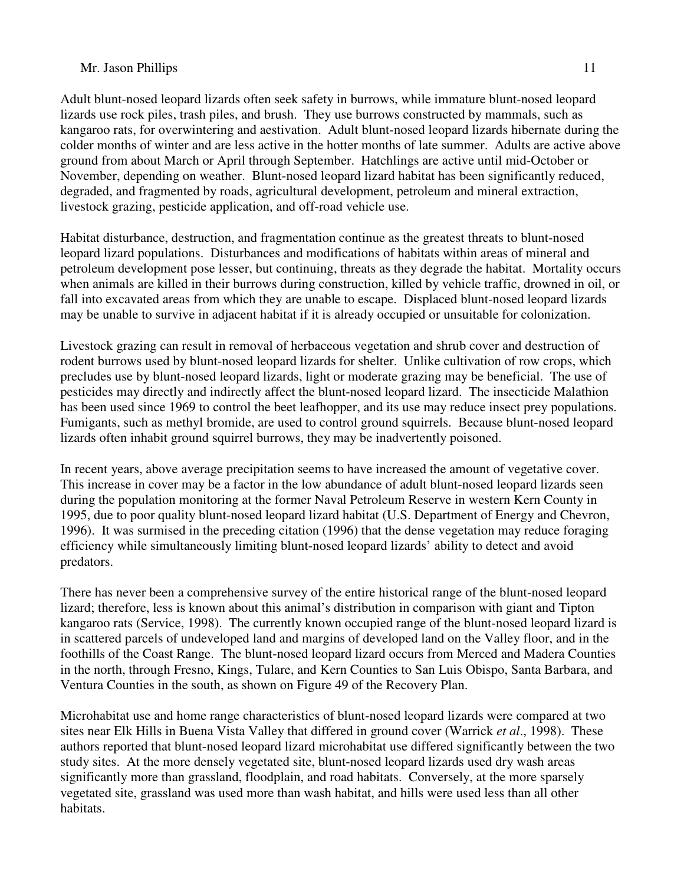Adult blunt-nosed leopard lizards often seek safety in burrows, while immature blunt-nosed leopard lizards use rock piles, trash piles, and brush. They use burrows constructed by mammals, such as kangaroo rats, for overwintering and aestivation. Adult blunt-nosed leopard lizards hibernate during the colder months of winter and are less active in the hotter months of late summer. Adults are active above ground from about March or April through September. Hatchlings are active until mid-October or November, depending on weather. Blunt-nosed leopard lizard habitat has been significantly reduced, degraded, and fragmented by roads, agricultural development, petroleum and mineral extraction, livestock grazing, pesticide application, and off-road vehicle use.

Habitat disturbance, destruction, and fragmentation continue as the greatest threats to blunt-nosed leopard lizard populations. Disturbances and modifications of habitats within areas of mineral and petroleum development pose lesser, but continuing, threats as they degrade the habitat. Mortality occurs when animals are killed in their burrows during construction, killed by vehicle traffic, drowned in oil, or fall into excavated areas from which they are unable to escape. Displaced blunt-nosed leopard lizards may be unable to survive in adjacent habitat if it is already occupied or unsuitable for colonization.

Livestock grazing can result in removal of herbaceous vegetation and shrub cover and destruction of rodent burrows used by blunt-nosed leopard lizards for shelter. Unlike cultivation of row crops, which precludes use by blunt-nosed leopard lizards, light or moderate grazing may be beneficial. The use of pesticides may directly and indirectly affect the blunt-nosed leopard lizard. The insecticide Malathion has been used since 1969 to control the beet leafhopper, and its use may reduce insect prey populations. Fumigants, such as methyl bromide, are used to control ground squirrels. Because blunt-nosed leopard lizards often inhabit ground squirrel burrows, they may be inadvertently poisoned.

In recent years, above average precipitation seems to have increased the amount of vegetative cover. This increase in cover may be a factor in the low abundance of adult blunt-nosed leopard lizards seen during the population monitoring at the former Naval Petroleum Reserve in western Kern County in 1995, due to poor quality blunt-nosed leopard lizard habitat (U.S. Department of Energy and Chevron, 1996). It was surmised in the preceding citation (1996) that the dense vegetation may reduce foraging efficiency while simultaneously limiting blunt-nosed leopard lizards' ability to detect and avoid predators.

There has never been a comprehensive survey of the entire historical range of the blunt-nosed leopard lizard; therefore, less is known about this animal's distribution in comparison with giant and Tipton kangaroo rats (Service, 1998). The currently known occupied range of the blunt-nosed leopard lizard is in scattered parcels of undeveloped land and margins of developed land on the Valley floor, and in the foothills of the Coast Range. The blunt-nosed leopard lizard occurs from Merced and Madera Counties in the north, through Fresno, Kings, Tulare, and Kern Counties to San Luis Obispo, Santa Barbara, and Ventura Counties in the south, as shown on Figure 49 of the Recovery Plan.

Microhabitat use and home range characteristics of blunt-nosed leopard lizards were compared at two sites near Elk Hills in Buena Vista Valley that differed in ground cover (Warrick *et al*., 1998). These authors reported that blunt-nosed leopard lizard microhabitat use differed significantly between the two study sites. At the more densely vegetated site, blunt-nosed leopard lizards used dry wash areas significantly more than grassland, floodplain, and road habitats. Conversely, at the more sparsely vegetated site, grassland was used more than wash habitat, and hills were used less than all other habitats.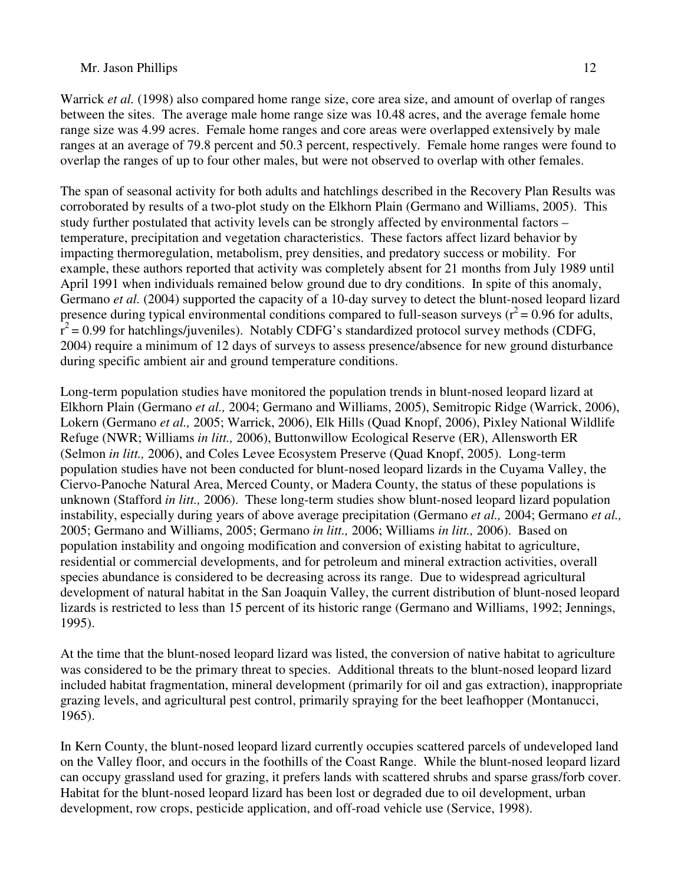Warrick *et al.* (1998) also compared home range size, core area size, and amount of overlap of ranges between the sites. The average male home range size was 10.48 acres, and the average female home range size was 4.99 acres. Female home ranges and core areas were overlapped extensively by male ranges at an average of 79.8 percent and 50.3 percent, respectively. Female home ranges were found to overlap the ranges of up to four other males, but were not observed to overlap with other females.

The span of seasonal activity for both adults and hatchlings described in the Recovery Plan Results was corroborated by results of a two-plot study on the Elkhorn Plain (Germano and Williams, 2005). This study further postulated that activity levels can be strongly affected by environmental factors – temperature, precipitation and vegetation characteristics. These factors affect lizard behavior by impacting thermoregulation, metabolism, prey densities, and predatory success or mobility. For example, these authors reported that activity was completely absent for 21 months from July 1989 until April 1991 when individuals remained below ground due to dry conditions. In spite of this anomaly, Germano *et al.* (2004) supported the capacity of a 10-day survey to detect the blunt-nosed leopard lizard presence during typical environmental conditions compared to full-season surveys ( $r^2$  = 0.96 for adults,  $\hat{r}^2$  = 0.99 for hatchlings/juveniles). Notably CDFG's standardized protocol survey methods (CDFG, 2004) require a minimum of 12 days of surveys to assess presence/absence for new ground disturbance during specific ambient air and ground temperature conditions.

Long-term population studies have monitored the population trends in blunt-nosed leopard lizard at Elkhorn Plain (Germano *et al.,* 2004; Germano and Williams, 2005), Semitropic Ridge (Warrick, 2006), Lokern (Germano *et al.,* 2005; Warrick, 2006), Elk Hills (Quad Knopf, 2006), Pixley National Wildlife Refuge (NWR; Williams *in litt.,* 2006), Buttonwillow Ecological Reserve (ER), Allensworth ER (Selmon *in litt.,* 2006), and Coles Levee Ecosystem Preserve (Quad Knopf, 2005). Long-term population studies have not been conducted for blunt-nosed leopard lizards in the Cuyama Valley, the Ciervo-Panoche Natural Area, Merced County, or Madera County, the status of these populations is unknown (Stafford *in litt.,* 2006). These long-term studies show blunt-nosed leopard lizard population instability, especially during years of above average precipitation (Germano *et al.,* 2004; Germano *et al.,* 2005; Germano and Williams, 2005; Germano *in litt.,* 2006; Williams *in litt.,* 2006). Based on population instability and ongoing modification and conversion of existing habitat to agriculture, residential or commercial developments, and for petroleum and mineral extraction activities, overall species abundance is considered to be decreasing across its range. Due to widespread agricultural development of natural habitat in the San Joaquin Valley, the current distribution of blunt-nosed leopard lizards is restricted to less than 15 percent of its historic range (Germano and Williams, 1992; Jennings, 1995).

At the time that the blunt-nosed leopard lizard was listed, the conversion of native habitat to agriculture was considered to be the primary threat to species. Additional threats to the blunt-nosed leopard lizard included habitat fragmentation, mineral development (primarily for oil and gas extraction), inappropriate grazing levels, and agricultural pest control, primarily spraying for the beet leafhopper (Montanucci, 1965).

In Kern County, the blunt-nosed leopard lizard currently occupies scattered parcels of undeveloped land on the Valley floor, and occurs in the foothills of the Coast Range. While the blunt-nosed leopard lizard can occupy grassland used for grazing, it prefers lands with scattered shrubs and sparse grass/forb cover. Habitat for the blunt-nosed leopard lizard has been lost or degraded due to oil development, urban development, row crops, pesticide application, and off-road vehicle use (Service, 1998).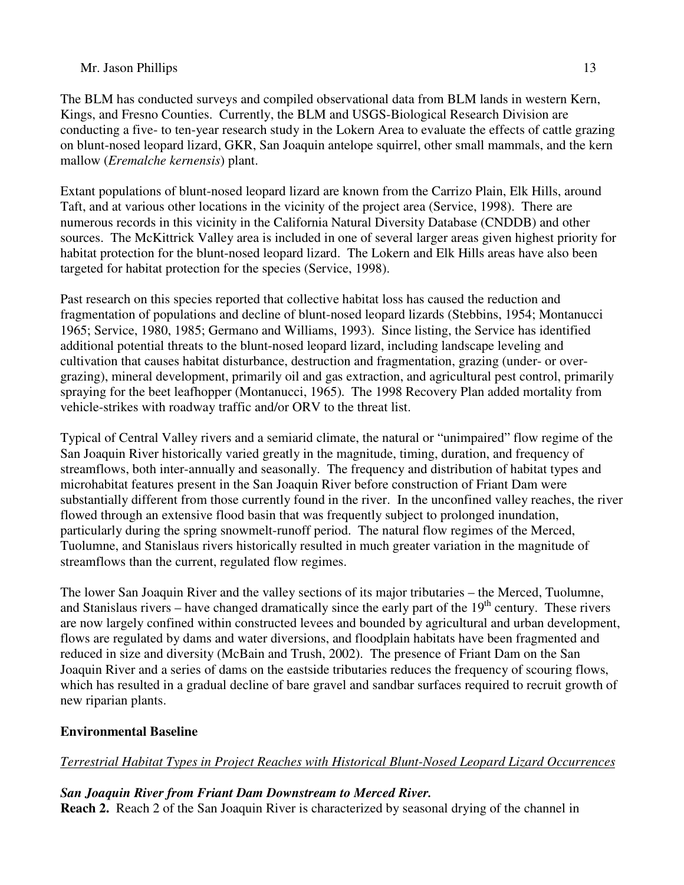The BLM has conducted surveys and compiled observational data from BLM lands in western Kern, Kings, and Fresno Counties. Currently, the BLM and USGS-Biological Research Division are conducting a five- to ten-year research study in the Lokern Area to evaluate the effects of cattle grazing on blunt-nosed leopard lizard, GKR, San Joaquin antelope squirrel, other small mammals, and the kern mallow (*Eremalche kernensis*) plant.

Extant populations of blunt-nosed leopard lizard are known from the Carrizo Plain, Elk Hills, around Taft, and at various other locations in the vicinity of the project area (Service, 1998). There are numerous records in this vicinity in the California Natural Diversity Database (CNDDB) and other sources. The McKittrick Valley area is included in one of several larger areas given highest priority for habitat protection for the blunt-nosed leopard lizard. The Lokern and Elk Hills areas have also been targeted for habitat protection for the species (Service, 1998).

Past research on this species reported that collective habitat loss has caused the reduction and fragmentation of populations and decline of blunt-nosed leopard lizards (Stebbins, 1954; Montanucci 1965; Service, 1980, 1985; Germano and Williams, 1993). Since listing, the Service has identified additional potential threats to the blunt-nosed leopard lizard, including landscape leveling and cultivation that causes habitat disturbance, destruction and fragmentation, grazing (under- or overgrazing), mineral development, primarily oil and gas extraction, and agricultural pest control, primarily spraying for the beet leafhopper (Montanucci, 1965). The 1998 Recovery Plan added mortality from vehicle-strikes with roadway traffic and/or ORV to the threat list.

Typical of Central Valley rivers and a semiarid climate, the natural or "unimpaired" flow regime of the San Joaquin River historically varied greatly in the magnitude, timing, duration, and frequency of streamflows, both inter-annually and seasonally. The frequency and distribution of habitat types and microhabitat features present in the San Joaquin River before construction of Friant Dam were substantially different from those currently found in the river. In the unconfined valley reaches, the river flowed through an extensive flood basin that was frequently subject to prolonged inundation, particularly during the spring snowmelt-runoff period. The natural flow regimes of the Merced, Tuolumne, and Stanislaus rivers historically resulted in much greater variation in the magnitude of streamflows than the current, regulated flow regimes.

The lower San Joaquin River and the valley sections of its major tributaries – the Merced, Tuolumne, and Stanislaus rivers – have changed dramatically since the early part of the  $19<sup>th</sup>$  century. These rivers are now largely confined within constructed levees and bounded by agricultural and urban development, flows are regulated by dams and water diversions, and floodplain habitats have been fragmented and reduced in size and diversity (McBain and Trush, 2002). The presence of Friant Dam on the San Joaquin River and a series of dams on the eastside tributaries reduces the frequency of scouring flows, which has resulted in a gradual decline of bare gravel and sandbar surfaces required to recruit growth of new riparian plants.

# **Environmental Baseline**

# *Terrestrial Habitat Types in Project Reaches with Historical Blunt-Nosed Leopard Lizard Occurrences*

*San Joaquin River from Friant Dam Downstream to Merced River.* **Reach 2.** Reach 2 of the San Joaquin River is characterized by seasonal drying of the channel in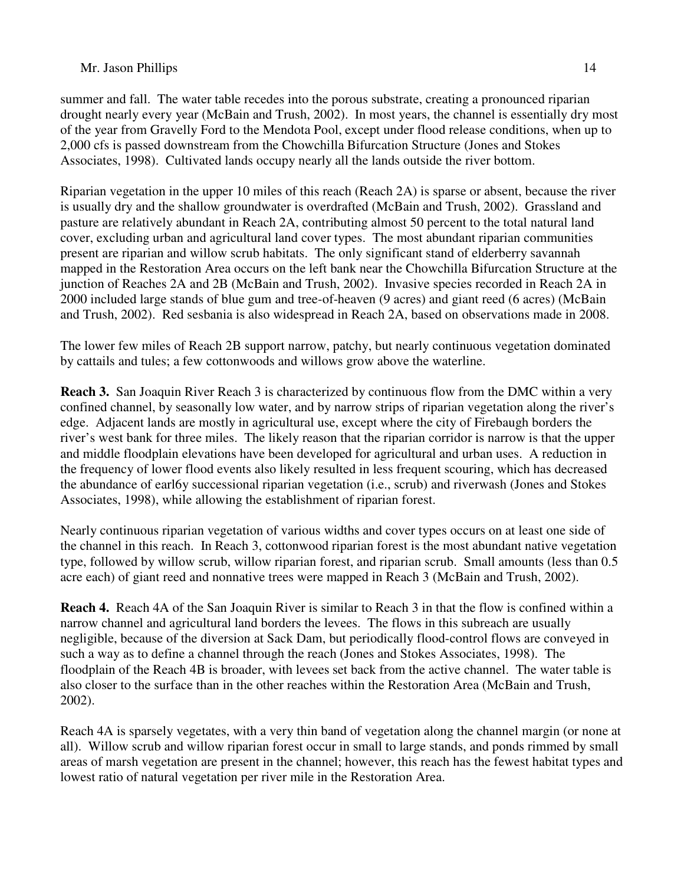summer and fall. The water table recedes into the porous substrate, creating a pronounced riparian drought nearly every year (McBain and Trush, 2002). In most years, the channel is essentially dry most of the year from Gravelly Ford to the Mendota Pool, except under flood release conditions, when up to 2,000 cfs is passed downstream from the Chowchilla Bifurcation Structure (Jones and Stokes Associates, 1998). Cultivated lands occupy nearly all the lands outside the river bottom.

Riparian vegetation in the upper 10 miles of this reach (Reach 2A) is sparse or absent, because the river is usually dry and the shallow groundwater is overdrafted (McBain and Trush, 2002). Grassland and pasture are relatively abundant in Reach 2A, contributing almost 50 percent to the total natural land cover, excluding urban and agricultural land cover types. The most abundant riparian communities present are riparian and willow scrub habitats. The only significant stand of elderberry savannah mapped in the Restoration Area occurs on the left bank near the Chowchilla Bifurcation Structure at the junction of Reaches 2A and 2B (McBain and Trush, 2002). Invasive species recorded in Reach 2A in 2000 included large stands of blue gum and tree-of-heaven (9 acres) and giant reed (6 acres) (McBain and Trush, 2002). Red sesbania is also widespread in Reach 2A, based on observations made in 2008.

The lower few miles of Reach 2B support narrow, patchy, but nearly continuous vegetation dominated by cattails and tules; a few cottonwoods and willows grow above the waterline.

**Reach 3.** San Joaquin River Reach 3 is characterized by continuous flow from the DMC within a very confined channel, by seasonally low water, and by narrow strips of riparian vegetation along the river's edge. Adjacent lands are mostly in agricultural use, except where the city of Firebaugh borders the river's west bank for three miles. The likely reason that the riparian corridor is narrow is that the upper and middle floodplain elevations have been developed for agricultural and urban uses. A reduction in the frequency of lower flood events also likely resulted in less frequent scouring, which has decreased the abundance of earl6y successional riparian vegetation (i.e., scrub) and riverwash (Jones and Stokes Associates, 1998), while allowing the establishment of riparian forest.

Nearly continuous riparian vegetation of various widths and cover types occurs on at least one side of the channel in this reach. In Reach 3, cottonwood riparian forest is the most abundant native vegetation type, followed by willow scrub, willow riparian forest, and riparian scrub. Small amounts (less than 0.5 acre each) of giant reed and nonnative trees were mapped in Reach 3 (McBain and Trush, 2002).

**Reach 4.** Reach 4A of the San Joaquin River is similar to Reach 3 in that the flow is confined within a narrow channel and agricultural land borders the levees. The flows in this subreach are usually negligible, because of the diversion at Sack Dam, but periodically flood-control flows are conveyed in such a way as to define a channel through the reach (Jones and Stokes Associates, 1998). The floodplain of the Reach 4B is broader, with levees set back from the active channel. The water table is also closer to the surface than in the other reaches within the Restoration Area (McBain and Trush, 2002).

Reach 4A is sparsely vegetates, with a very thin band of vegetation along the channel margin (or none at all). Willow scrub and willow riparian forest occur in small to large stands, and ponds rimmed by small areas of marsh vegetation are present in the channel; however, this reach has the fewest habitat types and lowest ratio of natural vegetation per river mile in the Restoration Area.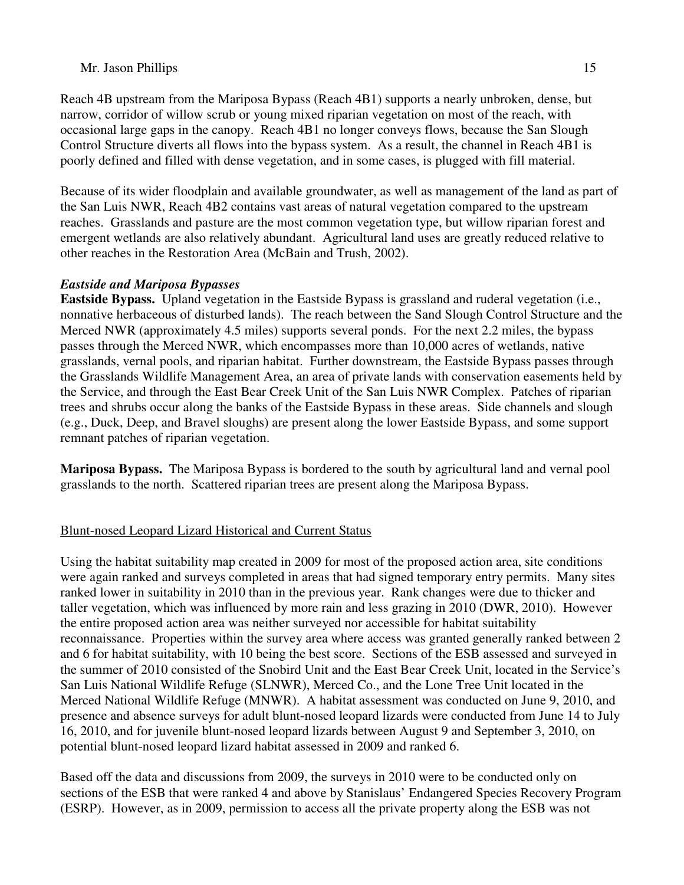Reach 4B upstream from the Mariposa Bypass (Reach 4B1) supports a nearly unbroken, dense, but narrow, corridor of willow scrub or young mixed riparian vegetation on most of the reach, with occasional large gaps in the canopy. Reach 4B1 no longer conveys flows, because the San Slough Control Structure diverts all flows into the bypass system. As a result, the channel in Reach 4B1 is poorly defined and filled with dense vegetation, and in some cases, is plugged with fill material.

Because of its wider floodplain and available groundwater, as well as management of the land as part of the San Luis NWR, Reach 4B2 contains vast areas of natural vegetation compared to the upstream reaches. Grasslands and pasture are the most common vegetation type, but willow riparian forest and emergent wetlands are also relatively abundant. Agricultural land uses are greatly reduced relative to other reaches in the Restoration Area (McBain and Trush, 2002).

### *Eastside and Mariposa Bypasses*

**Eastside Bypass.** Upland vegetation in the Eastside Bypass is grassland and ruderal vegetation (i.e., nonnative herbaceous of disturbed lands). The reach between the Sand Slough Control Structure and the Merced NWR (approximately 4.5 miles) supports several ponds. For the next 2.2 miles, the bypass passes through the Merced NWR, which encompasses more than 10,000 acres of wetlands, native grasslands, vernal pools, and riparian habitat. Further downstream, the Eastside Bypass passes through the Grasslands Wildlife Management Area, an area of private lands with conservation easements held by the Service, and through the East Bear Creek Unit of the San Luis NWR Complex. Patches of riparian trees and shrubs occur along the banks of the Eastside Bypass in these areas. Side channels and slough (e.g., Duck, Deep, and Bravel sloughs) are present along the lower Eastside Bypass, and some support remnant patches of riparian vegetation.

**Mariposa Bypass.** The Mariposa Bypass is bordered to the south by agricultural land and vernal pool grasslands to the north. Scattered riparian trees are present along the Mariposa Bypass.

# Blunt-nosed Leopard Lizard Historical and Current Status

Using the habitat suitability map created in 2009 for most of the proposed action area, site conditions were again ranked and surveys completed in areas that had signed temporary entry permits. Many sites ranked lower in suitability in 2010 than in the previous year. Rank changes were due to thicker and taller vegetation, which was influenced by more rain and less grazing in 2010 (DWR, 2010). However the entire proposed action area was neither surveyed nor accessible for habitat suitability reconnaissance. Properties within the survey area where access was granted generally ranked between 2 and 6 for habitat suitability, with 10 being the best score. Sections of the ESB assessed and surveyed in the summer of 2010 consisted of the Snobird Unit and the East Bear Creek Unit, located in the Service's San Luis National Wildlife Refuge (SLNWR), Merced Co., and the Lone Tree Unit located in the Merced National Wildlife Refuge (MNWR). A habitat assessment was conducted on June 9, 2010, and presence and absence surveys for adult blunt-nosed leopard lizards were conducted from June 14 to July 16, 2010, and for juvenile blunt-nosed leopard lizards between August 9 and September 3, 2010, on potential blunt-nosed leopard lizard habitat assessed in 2009 and ranked 6.

Based off the data and discussions from 2009, the surveys in 2010 were to be conducted only on sections of the ESB that were ranked 4 and above by Stanislaus' Endangered Species Recovery Program (ESRP). However, as in 2009, permission to access all the private property along the ESB was not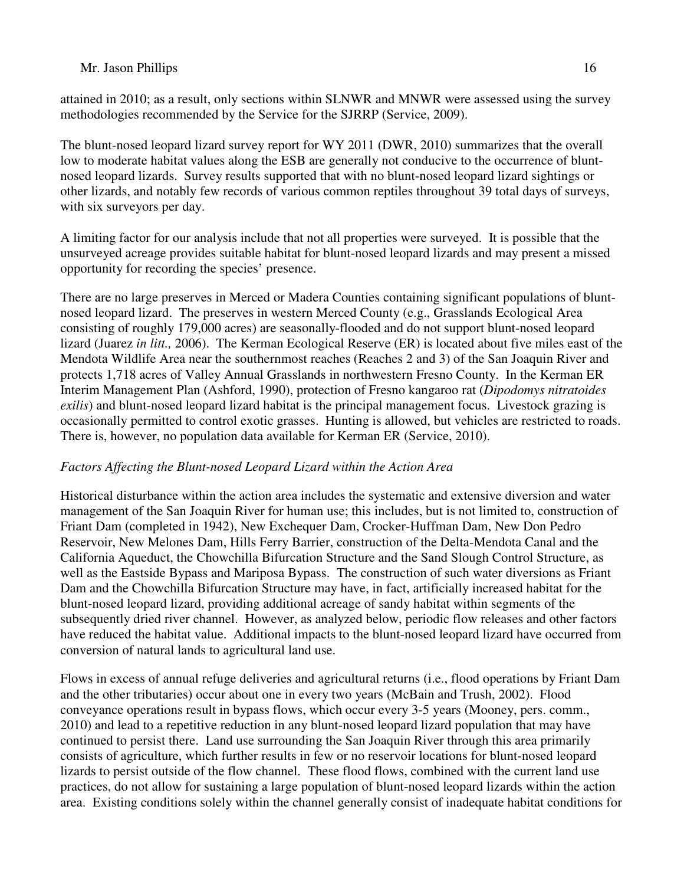attained in 2010; as a result, only sections within SLNWR and MNWR were assessed using the survey methodologies recommended by the Service for the SJRRP (Service, 2009).

The blunt-nosed leopard lizard survey report for WY 2011 (DWR, 2010) summarizes that the overall low to moderate habitat values along the ESB are generally not conducive to the occurrence of bluntnosed leopard lizards. Survey results supported that with no blunt-nosed leopard lizard sightings or other lizards, and notably few records of various common reptiles throughout 39 total days of surveys, with six surveyors per day.

A limiting factor for our analysis include that not all properties were surveyed. It is possible that the unsurveyed acreage provides suitable habitat for blunt-nosed leopard lizards and may present a missed opportunity for recording the species' presence.

There are no large preserves in Merced or Madera Counties containing significant populations of bluntnosed leopard lizard. The preserves in western Merced County (e.g., Grasslands Ecological Area consisting of roughly 179,000 acres) are seasonally-flooded and do not support blunt-nosed leopard lizard (Juarez *in litt.,* 2006). The Kerman Ecological Reserve (ER) is located about five miles east of the Mendota Wildlife Area near the southernmost reaches (Reaches 2 and 3) of the San Joaquin River and protects 1,718 acres of Valley Annual Grasslands in northwestern Fresno County. In the Kerman ER Interim Management Plan (Ashford, 1990), protection of Fresno kangaroo rat (*Dipodomys nitratoides exilis*) and blunt-nosed leopard lizard habitat is the principal management focus. Livestock grazing is occasionally permitted to control exotic grasses. Hunting is allowed, but vehicles are restricted to roads. There is, however, no population data available for Kerman ER (Service, 2010).

# *Factors Affecting the Blunt-nosed Leopard Lizard within the Action Area*

Historical disturbance within the action area includes the systematic and extensive diversion and water management of the San Joaquin River for human use; this includes, but is not limited to, construction of Friant Dam (completed in 1942), New Exchequer Dam, Crocker-Huffman Dam, New Don Pedro Reservoir, New Melones Dam, Hills Ferry Barrier, construction of the Delta-Mendota Canal and the California Aqueduct, the Chowchilla Bifurcation Structure and the Sand Slough Control Structure, as well as the Eastside Bypass and Mariposa Bypass. The construction of such water diversions as Friant Dam and the Chowchilla Bifurcation Structure may have, in fact, artificially increased habitat for the blunt-nosed leopard lizard, providing additional acreage of sandy habitat within segments of the subsequently dried river channel. However, as analyzed below, periodic flow releases and other factors have reduced the habitat value. Additional impacts to the blunt-nosed leopard lizard have occurred from conversion of natural lands to agricultural land use.

Flows in excess of annual refuge deliveries and agricultural returns (i.e., flood operations by Friant Dam and the other tributaries) occur about one in every two years (McBain and Trush, 2002). Flood conveyance operations result in bypass flows, which occur every 3-5 years (Mooney, pers. comm., 2010) and lead to a repetitive reduction in any blunt-nosed leopard lizard population that may have continued to persist there. Land use surrounding the San Joaquin River through this area primarily consists of agriculture, which further results in few or no reservoir locations for blunt-nosed leopard lizards to persist outside of the flow channel. These flood flows, combined with the current land use practices, do not allow for sustaining a large population of blunt-nosed leopard lizards within the action area. Existing conditions solely within the channel generally consist of inadequate habitat conditions for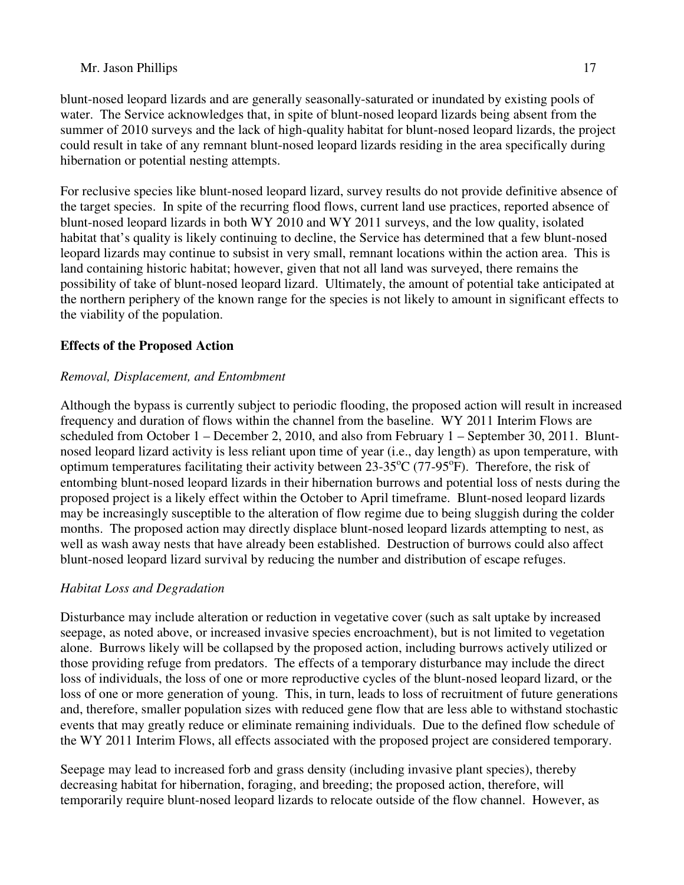blunt-nosed leopard lizards and are generally seasonally-saturated or inundated by existing pools of water. The Service acknowledges that, in spite of blunt-nosed leopard lizards being absent from the summer of 2010 surveys and the lack of high-quality habitat for blunt-nosed leopard lizards, the project could result in take of any remnant blunt-nosed leopard lizards residing in the area specifically during hibernation or potential nesting attempts.

For reclusive species like blunt-nosed leopard lizard, survey results do not provide definitive absence of the target species. In spite of the recurring flood flows, current land use practices, reported absence of blunt-nosed leopard lizards in both WY 2010 and WY 2011 surveys, and the low quality, isolated habitat that's quality is likely continuing to decline, the Service has determined that a few blunt-nosed leopard lizards may continue to subsist in very small, remnant locations within the action area. This is land containing historic habitat; however, given that not all land was surveyed, there remains the possibility of take of blunt-nosed leopard lizard. Ultimately, the amount of potential take anticipated at the northern periphery of the known range for the species is not likely to amount in significant effects to the viability of the population.

# **Effects of the Proposed Action**

# *Removal, Displacement, and Entombment*

Although the bypass is currently subject to periodic flooding, the proposed action will result in increased frequency and duration of flows within the channel from the baseline. WY 2011 Interim Flows are scheduled from October 1 – December 2, 2010, and also from February 1 – September 30, 2011. Bluntnosed leopard lizard activity is less reliant upon time of year (i.e., day length) as upon temperature, with optimum temperatures facilitating their activity between  $23-35^{\circ}C$  (77-95 $^{\circ}F$ ). Therefore, the risk of entombing blunt-nosed leopard lizards in their hibernation burrows and potential loss of nests during the proposed project is a likely effect within the October to April timeframe. Blunt-nosed leopard lizards may be increasingly susceptible to the alteration of flow regime due to being sluggish during the colder months. The proposed action may directly displace blunt-nosed leopard lizards attempting to nest, as well as wash away nests that have already been established. Destruction of burrows could also affect blunt-nosed leopard lizard survival by reducing the number and distribution of escape refuges.

# *Habitat Loss and Degradation*

Disturbance may include alteration or reduction in vegetative cover (such as salt uptake by increased seepage, as noted above, or increased invasive species encroachment), but is not limited to vegetation alone. Burrows likely will be collapsed by the proposed action, including burrows actively utilized or those providing refuge from predators. The effects of a temporary disturbance may include the direct loss of individuals, the loss of one or more reproductive cycles of the blunt-nosed leopard lizard, or the loss of one or more generation of young. This, in turn, leads to loss of recruitment of future generations and, therefore, smaller population sizes with reduced gene flow that are less able to withstand stochastic events that may greatly reduce or eliminate remaining individuals. Due to the defined flow schedule of the WY 2011 Interim Flows, all effects associated with the proposed project are considered temporary.

Seepage may lead to increased forb and grass density (including invasive plant species), thereby decreasing habitat for hibernation, foraging, and breeding; the proposed action, therefore, will temporarily require blunt-nosed leopard lizards to relocate outside of the flow channel. However, as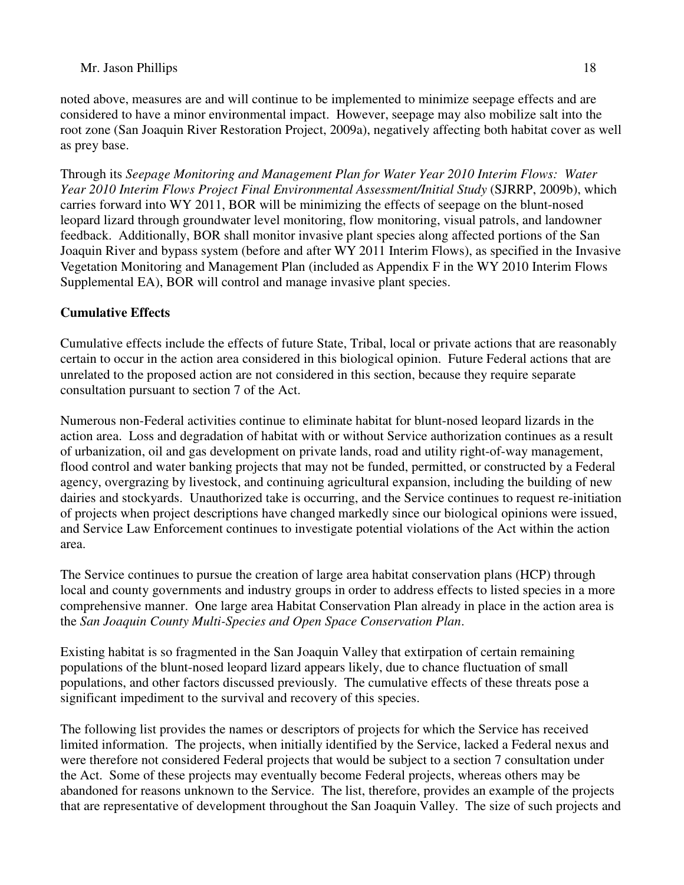noted above, measures are and will continue to be implemented to minimize seepage effects and are considered to have a minor environmental impact. However, seepage may also mobilize salt into the root zone (San Joaquin River Restoration Project, 2009a), negatively affecting both habitat cover as well as prey base.

Through its *Seepage Monitoring and Management Plan for Water Year 2010 Interim Flows: Water Year 2010 Interim Flows Project Final Environmental Assessment/Initial Study* (SJRRP, 2009b), which carries forward into WY 2011, BOR will be minimizing the effects of seepage on the blunt-nosed leopard lizard through groundwater level monitoring, flow monitoring, visual patrols, and landowner feedback. Additionally, BOR shall monitor invasive plant species along affected portions of the San Joaquin River and bypass system (before and after WY 2011 Interim Flows), as specified in the Invasive Vegetation Monitoring and Management Plan (included as Appendix F in the WY 2010 Interim Flows Supplemental EA), BOR will control and manage invasive plant species.

# **Cumulative Effects**

Cumulative effects include the effects of future State, Tribal, local or private actions that are reasonably certain to occur in the action area considered in this biological opinion. Future Federal actions that are unrelated to the proposed action are not considered in this section, because they require separate consultation pursuant to section 7 of the Act.

Numerous non-Federal activities continue to eliminate habitat for blunt-nosed leopard lizards in the action area. Loss and degradation of habitat with or without Service authorization continues as a result of urbanization, oil and gas development on private lands, road and utility right-of-way management, flood control and water banking projects that may not be funded, permitted, or constructed by a Federal agency, overgrazing by livestock, and continuing agricultural expansion, including the building of new dairies and stockyards. Unauthorized take is occurring, and the Service continues to request re-initiation of projects when project descriptions have changed markedly since our biological opinions were issued, and Service Law Enforcement continues to investigate potential violations of the Act within the action area.

The Service continues to pursue the creation of large area habitat conservation plans (HCP) through local and county governments and industry groups in order to address effects to listed species in a more comprehensive manner. One large area Habitat Conservation Plan already in place in the action area is the *San Joaquin County Multi-Species and Open Space Conservation Plan*.

Existing habitat is so fragmented in the San Joaquin Valley that extirpation of certain remaining populations of the blunt-nosed leopard lizard appears likely, due to chance fluctuation of small populations, and other factors discussed previously. The cumulative effects of these threats pose a significant impediment to the survival and recovery of this species.

The following list provides the names or descriptors of projects for which the Service has received limited information. The projects, when initially identified by the Service, lacked a Federal nexus and were therefore not considered Federal projects that would be subject to a section 7 consultation under the Act. Some of these projects may eventually become Federal projects, whereas others may be abandoned for reasons unknown to the Service. The list, therefore, provides an example of the projects that are representative of development throughout the San Joaquin Valley. The size of such projects and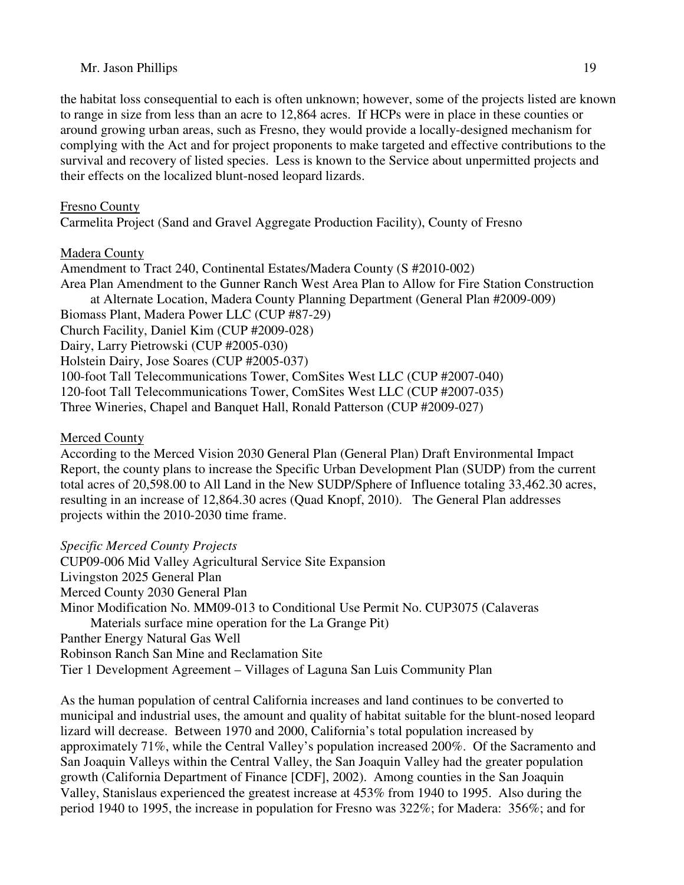the habitat loss consequential to each is often unknown; however, some of the projects listed are known to range in size from less than an acre to 12,864 acres. If HCPs were in place in these counties or around growing urban areas, such as Fresno, they would provide a locally-designed mechanism for complying with the Act and for project proponents to make targeted and effective contributions to the survival and recovery of listed species. Less is known to the Service about unpermitted projects and their effects on the localized blunt-nosed leopard lizards.

# Fresno County

Carmelita Project (Sand and Gravel Aggregate Production Facility), County of Fresno

# Madera County

Amendment to Tract 240, Continental Estates/Madera County (S #2010-002) Area Plan Amendment to the Gunner Ranch West Area Plan to Allow for Fire Station Construction at Alternate Location, Madera County Planning Department (General Plan #2009-009) Biomass Plant, Madera Power LLC (CUP #87-29) Church Facility, Daniel Kim (CUP #2009-028) Dairy, Larry Pietrowski (CUP #2005-030) Holstein Dairy, Jose Soares (CUP #2005-037) 100-foot Tall Telecommunications Tower, ComSites West LLC (CUP #2007-040) 120-foot Tall Telecommunications Tower, ComSites West LLC (CUP #2007-035) Three Wineries, Chapel and Banquet Hall, Ronald Patterson (CUP #2009-027)

# Merced County

According to the Merced Vision 2030 General Plan (General Plan) Draft Environmental Impact Report, the county plans to increase the Specific Urban Development Plan (SUDP) from the current total acres of 20,598.00 to All Land in the New SUDP/Sphere of Influence totaling 33,462.30 acres, resulting in an increase of 12,864.30 acres (Quad Knopf, 2010). The General Plan addresses projects within the 2010-2030 time frame.

# *Specific Merced County Projects*

CUP09-006 Mid Valley Agricultural Service Site Expansion Livingston 2025 General Plan Merced County 2030 General Plan Minor Modification No. MM09-013 to Conditional Use Permit No. CUP3075 (Calaveras Materials surface mine operation for the La Grange Pit) Panther Energy Natural Gas Well Robinson Ranch San Mine and Reclamation Site Tier 1 Development Agreement – Villages of Laguna San Luis Community Plan

As the human population of central California increases and land continues to be converted to municipal and industrial uses, the amount and quality of habitat suitable for the blunt-nosed leopard lizard will decrease. Between 1970 and 2000, California's total population increased by approximately 71%, while the Central Valley's population increased 200%. Of the Sacramento and San Joaquin Valleys within the Central Valley, the San Joaquin Valley had the greater population growth (California Department of Finance [CDF], 2002). Among counties in the San Joaquin Valley, Stanislaus experienced the greatest increase at 453% from 1940 to 1995. Also during the period 1940 to 1995, the increase in population for Fresno was 322%; for Madera: 356%; and for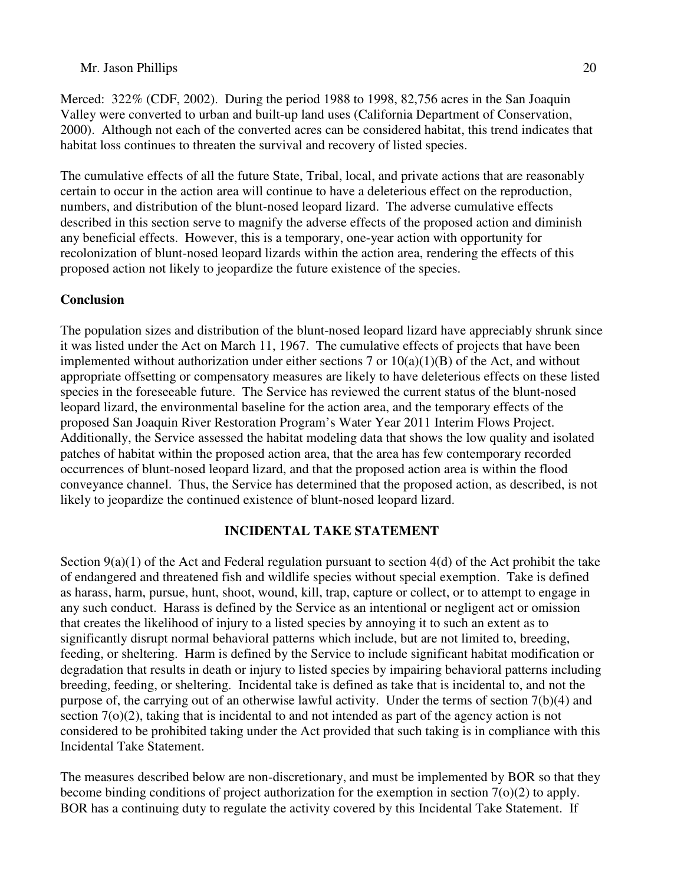Merced: 322% (CDF, 2002). During the period 1988 to 1998, 82,756 acres in the San Joaquin Valley were converted to urban and built-up land uses (California Department of Conservation, 2000). Although not each of the converted acres can be considered habitat, this trend indicates that habitat loss continues to threaten the survival and recovery of listed species.

The cumulative effects of all the future State, Tribal, local, and private actions that are reasonably certain to occur in the action area will continue to have a deleterious effect on the reproduction, numbers, and distribution of the blunt-nosed leopard lizard. The adverse cumulative effects described in this section serve to magnify the adverse effects of the proposed action and diminish any beneficial effects. However, this is a temporary, one-year action with opportunity for recolonization of blunt-nosed leopard lizards within the action area, rendering the effects of this proposed action not likely to jeopardize the future existence of the species.

### **Conclusion**

The population sizes and distribution of the blunt-nosed leopard lizard have appreciably shrunk since it was listed under the Act on March 11, 1967. The cumulative effects of projects that have been implemented without authorization under either sections 7 or  $10(a)(1)(B)$  of the Act, and without appropriate offsetting or compensatory measures are likely to have deleterious effects on these listed species in the foreseeable future. The Service has reviewed the current status of the blunt-nosed leopard lizard, the environmental baseline for the action area, and the temporary effects of the proposed San Joaquin River Restoration Program's Water Year 2011 Interim Flows Project. Additionally, the Service assessed the habitat modeling data that shows the low quality and isolated patches of habitat within the proposed action area, that the area has few contemporary recorded occurrences of blunt-nosed leopard lizard, and that the proposed action area is within the flood conveyance channel. Thus, the Service has determined that the proposed action, as described, is not likely to jeopardize the continued existence of blunt-nosed leopard lizard.

### **INCIDENTAL TAKE STATEMENT**

Section  $9(a)(1)$  of the Act and Federal regulation pursuant to section  $4(d)$  of the Act prohibit the take of endangered and threatened fish and wildlife species without special exemption. Take is defined as harass, harm, pursue, hunt, shoot, wound, kill, trap, capture or collect, or to attempt to engage in any such conduct. Harass is defined by the Service as an intentional or negligent act or omission that creates the likelihood of injury to a listed species by annoying it to such an extent as to significantly disrupt normal behavioral patterns which include, but are not limited to, breeding, feeding, or sheltering. Harm is defined by the Service to include significant habitat modification or degradation that results in death or injury to listed species by impairing behavioral patterns including breeding, feeding, or sheltering. Incidental take is defined as take that is incidental to, and not the purpose of, the carrying out of an otherwise lawful activity. Under the terms of section 7(b)(4) and section 7(o)(2), taking that is incidental to and not intended as part of the agency action is not considered to be prohibited taking under the Act provided that such taking is in compliance with this Incidental Take Statement.

The measures described below are non-discretionary, and must be implemented by BOR so that they become binding conditions of project authorization for the exemption in section 7(o)(2) to apply. BOR has a continuing duty to regulate the activity covered by this Incidental Take Statement. If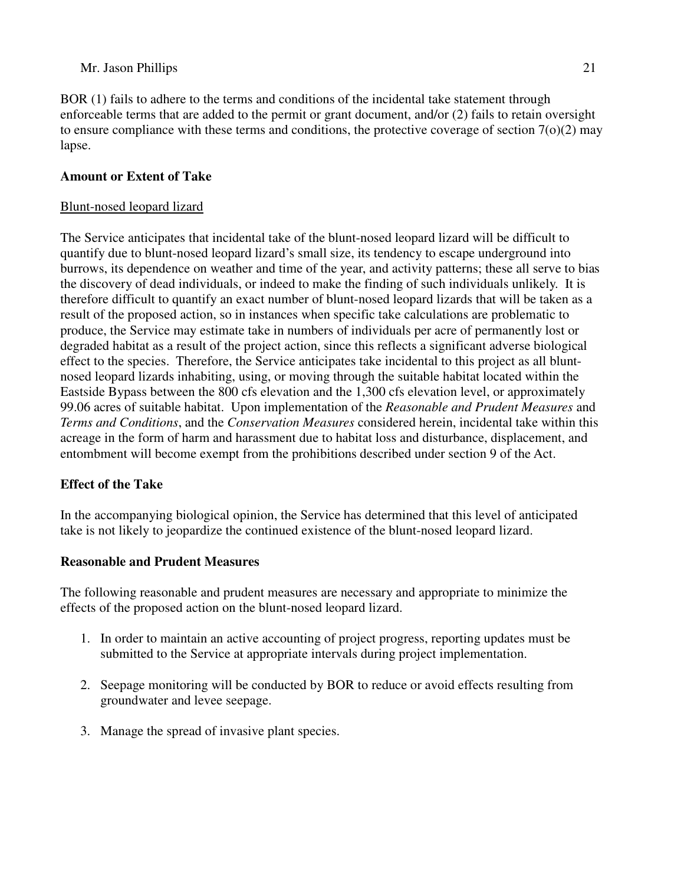BOR (1) fails to adhere to the terms and conditions of the incidental take statement through enforceable terms that are added to the permit or grant document, and/or (2) fails to retain oversight to ensure compliance with these terms and conditions, the protective coverage of section  $7<sub>(o)(2)</sub>$  may lapse.

### **Amount or Extent of Take**

### Blunt-nosed leopard lizard

The Service anticipates that incidental take of the blunt-nosed leopard lizard will be difficult to quantify due to blunt-nosed leopard lizard's small size, its tendency to escape underground into burrows, its dependence on weather and time of the year, and activity patterns; these all serve to bias the discovery of dead individuals, or indeed to make the finding of such individuals unlikely. It is therefore difficult to quantify an exact number of blunt-nosed leopard lizards that will be taken as a result of the proposed action, so in instances when specific take calculations are problematic to produce, the Service may estimate take in numbers of individuals per acre of permanently lost or degraded habitat as a result of the project action, since this reflects a significant adverse biological effect to the species. Therefore, the Service anticipates take incidental to this project as all bluntnosed leopard lizards inhabiting, using, or moving through the suitable habitat located within the Eastside Bypass between the 800 cfs elevation and the 1,300 cfs elevation level, or approximately 99.06 acres of suitable habitat. Upon implementation of the *Reasonable and Prudent Measures* and *Terms and Conditions*, and the *Conservation Measures* considered herein, incidental take within this acreage in the form of harm and harassment due to habitat loss and disturbance, displacement, and entombment will become exempt from the prohibitions described under section 9 of the Act.

# **Effect of the Take**

In the accompanying biological opinion, the Service has determined that this level of anticipated take is not likely to jeopardize the continued existence of the blunt-nosed leopard lizard.

# **Reasonable and Prudent Measures**

The following reasonable and prudent measures are necessary and appropriate to minimize the effects of the proposed action on the blunt-nosed leopard lizard.

- 1. In order to maintain an active accounting of project progress, reporting updates must be submitted to the Service at appropriate intervals during project implementation.
- 2. Seepage monitoring will be conducted by BOR to reduce or avoid effects resulting from groundwater and levee seepage.
- 3. Manage the spread of invasive plant species.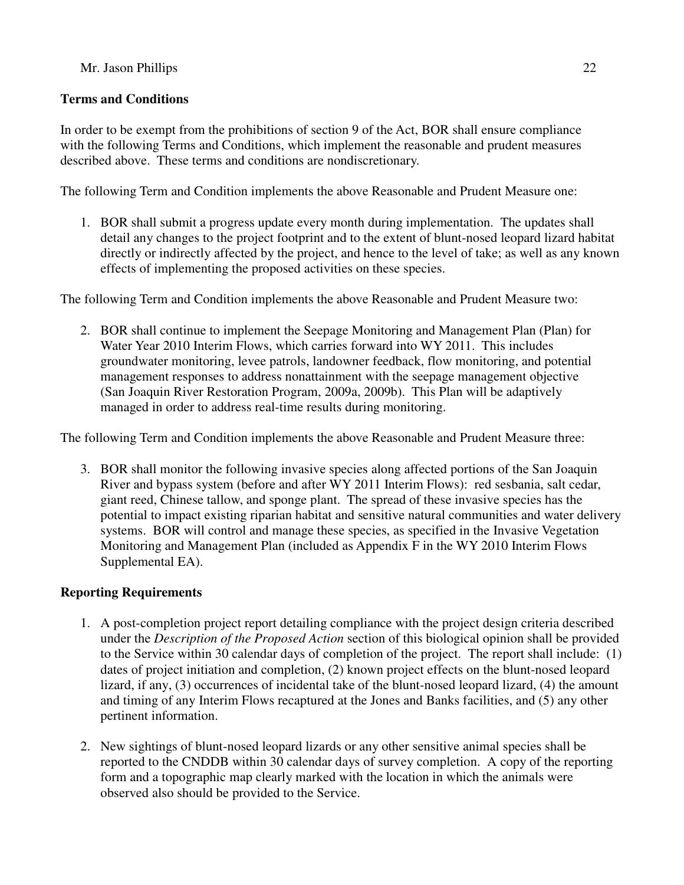# **Terms and Conditions**

In order to be exempt from the prohibitions of section 9 of the Act, BOR shall ensure compliance with the following Terms and Conditions, which implement the reasonable and prudent measures described above. These terms and conditions are nondiscretionary.

The following Term and Condition implements the above Reasonable and Prudent Measure one:

1. BOR shall submit a progress update every month during implementation. The updates shall detail any changes to the project footprint and to the extent of blunt-nosed leopard lizard habitat directly or indirectly affected by the project, and hence to the level of take; as well as any known effects of implementing the proposed activities on these species.

The following Term and Condition implements the above Reasonable and Prudent Measure two:

2. BOR shall continue to implement the Seepage Monitoring and Management Plan (Plan) for Water Year 2010 Interim Flows, which carries forward into WY 2011. This includes groundwater monitoring, levee patrols, landowner feedback, flow monitoring, and potential management responses to address nonattainment with the seepage management objective (San Joaquin River Restoration Program, 2009a, 2009b). This Plan will be adaptively managed in order to address real-time results during monitoring.

The following Term and Condition implements the above Reasonable and Prudent Measure three:

3. BOR shall monitor the following invasive species along affected portions of the San Joaquin River and bypass system (before and after WY 2011 Interim Flows): red sesbania, salt cedar, giant reed, Chinese tallow, and sponge plant. The spread of these invasive species has the potential to impact existing riparian habitat and sensitive natural communities and water delivery systems. BOR will control and manage these species, as specified in the Invasive Vegetation Monitoring and Management Plan (included as Appendix F in the WY 2010 Interim Flows Supplemental EA).

# **Reporting Requirements**

- 1. A post-completion project report detailing compliance with the project design criteria described under the *Description of the Proposed Action* section of this biological opinion shall be provided to the Service within 30 calendar days of completion of the project. The report shall include: (1) dates of project initiation and completion, (2) known project effects on the blunt-nosed leopard lizard, if any, (3) occurrences of incidental take of the blunt-nosed leopard lizard, (4) the amount and timing of any Interim Flows recaptured at the Jones and Banks facilities, and (5) any other pertinent information.
- 2. New sightings of blunt-nosed leopard lizards or any other sensitive animal species shall be reported to the CNDDB within 30 calendar days of survey completion. A copy of the reporting form and a topographic map clearly marked with the location in which the animals were observed also should be provided to the Service.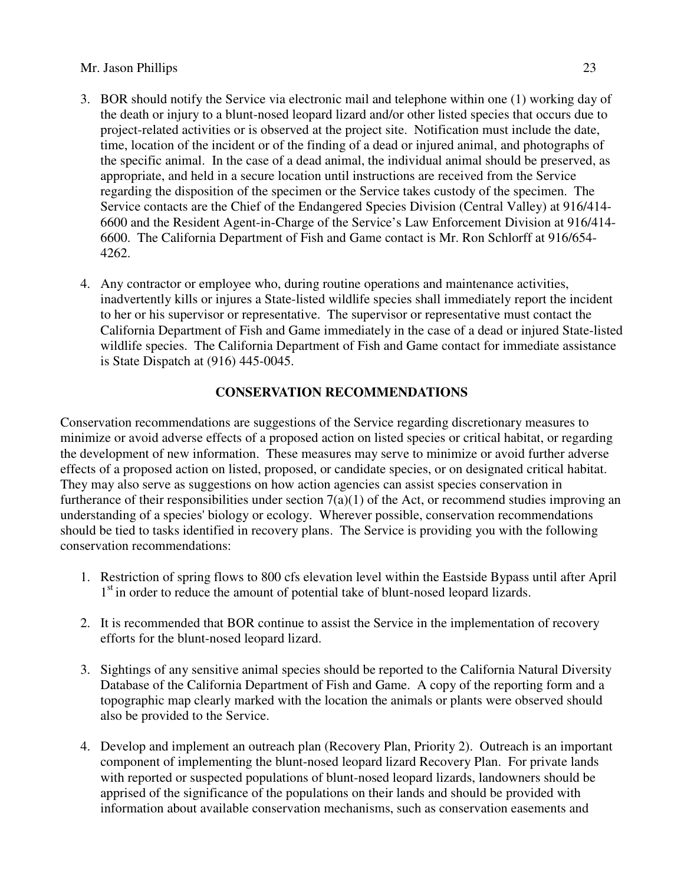- 3. BOR should notify the Service via electronic mail and telephone within one (1) working day of the death or injury to a blunt-nosed leopard lizard and/or other listed species that occurs due to project-related activities or is observed at the project site. Notification must include the date, time, location of the incident or of the finding of a dead or injured animal, and photographs of the specific animal. In the case of a dead animal, the individual animal should be preserved, as appropriate, and held in a secure location until instructions are received from the Service regarding the disposition of the specimen or the Service takes custody of the specimen. The Service contacts are the Chief of the Endangered Species Division (Central Valley) at 916/414- 6600 and the Resident Agent-in-Charge of the Service's Law Enforcement Division at 916/414- 6600. The California Department of Fish and Game contact is Mr. Ron Schlorff at 916/654- 4262.
- 4. Any contractor or employee who, during routine operations and maintenance activities, inadvertently kills or injures a State-listed wildlife species shall immediately report the incident to her or his supervisor or representative. The supervisor or representative must contact the California Department of Fish and Game immediately in the case of a dead or injured State-listed wildlife species. The California Department of Fish and Game contact for immediate assistance is State Dispatch at (916) 445-0045.

# **CONSERVATION RECOMMENDATIONS**

Conservation recommendations are suggestions of the Service regarding discretionary measures to minimize or avoid adverse effects of a proposed action on listed species or critical habitat, or regarding the development of new information. These measures may serve to minimize or avoid further adverse effects of a proposed action on listed, proposed, or candidate species, or on designated critical habitat. They may also serve as suggestions on how action agencies can assist species conservation in furtherance of their responsibilities under section  $7(a)(1)$  of the Act, or recommend studies improving an understanding of a species' biology or ecology. Wherever possible, conservation recommendations should be tied to tasks identified in recovery plans. The Service is providing you with the following conservation recommendations:

- 1. Restriction of spring flows to 800 cfs elevation level within the Eastside Bypass until after April 1<sup>st</sup> in order to reduce the amount of potential take of blunt-nosed leopard lizards.
- 2. It is recommended that BOR continue to assist the Service in the implementation of recovery efforts for the blunt-nosed leopard lizard.
- 3. Sightings of any sensitive animal species should be reported to the California Natural Diversity Database of the California Department of Fish and Game. A copy of the reporting form and a topographic map clearly marked with the location the animals or plants were observed should also be provided to the Service.
- 4. Develop and implement an outreach plan (Recovery Plan, Priority 2). Outreach is an important component of implementing the blunt-nosed leopard lizard Recovery Plan. For private lands with reported or suspected populations of blunt-nosed leopard lizards, landowners should be apprised of the significance of the populations on their lands and should be provided with information about available conservation mechanisms, such as conservation easements and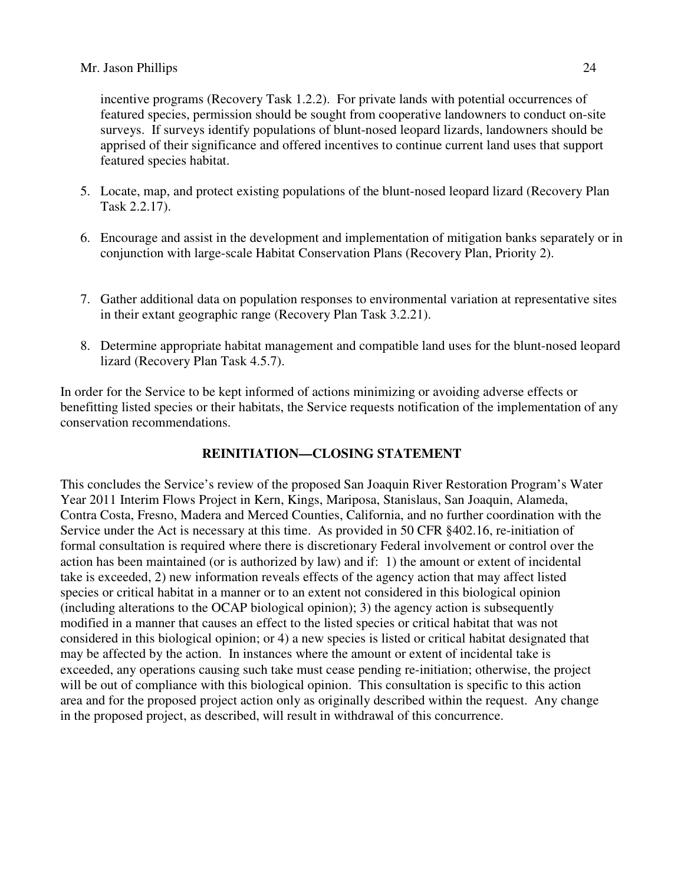incentive programs (Recovery Task 1.2.2). For private lands with potential occurrences of featured species, permission should be sought from cooperative landowners to conduct on-site surveys. If surveys identify populations of blunt-nosed leopard lizards, landowners should be apprised of their significance and offered incentives to continue current land uses that support featured species habitat.

- 5. Locate, map, and protect existing populations of the blunt-nosed leopard lizard (Recovery Plan Task 2.2.17).
- 6. Encourage and assist in the development and implementation of mitigation banks separately or in conjunction with large-scale Habitat Conservation Plans (Recovery Plan, Priority 2).
- 7. Gather additional data on population responses to environmental variation at representative sites in their extant geographic range (Recovery Plan Task 3.2.21).
- 8. Determine appropriate habitat management and compatible land uses for the blunt-nosed leopard lizard (Recovery Plan Task 4.5.7).

In order for the Service to be kept informed of actions minimizing or avoiding adverse effects or benefitting listed species or their habitats, the Service requests notification of the implementation of any conservation recommendations.

# **REINITIATION—CLOSING STATEMENT**

This concludes the Service's review of the proposed San Joaquin River Restoration Program's Water Year 2011 Interim Flows Project in Kern, Kings, Mariposa, Stanislaus, San Joaquin, Alameda, Contra Costa, Fresno, Madera and Merced Counties, California, and no further coordination with the Service under the Act is necessary at this time. As provided in 50 CFR §402.16, re-initiation of formal consultation is required where there is discretionary Federal involvement or control over the action has been maintained (or is authorized by law) and if: 1) the amount or extent of incidental take is exceeded, 2) new information reveals effects of the agency action that may affect listed species or critical habitat in a manner or to an extent not considered in this biological opinion (including alterations to the OCAP biological opinion); 3) the agency action is subsequently modified in a manner that causes an effect to the listed species or critical habitat that was not considered in this biological opinion; or 4) a new species is listed or critical habitat designated that may be affected by the action. In instances where the amount or extent of incidental take is exceeded, any operations causing such take must cease pending re-initiation; otherwise, the project will be out of compliance with this biological opinion. This consultation is specific to this action area and for the proposed project action only as originally described within the request. Any change in the proposed project, as described, will result in withdrawal of this concurrence.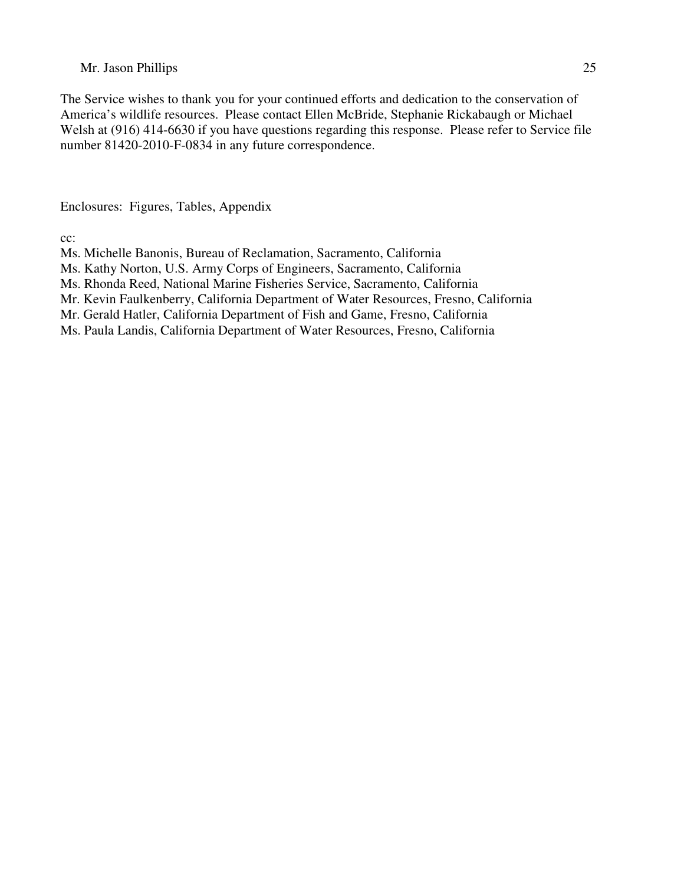The Service wishes to thank you for your continued efforts and dedication to the conservation of America's wildlife resources. Please contact Ellen McBride, Stephanie Rickabaugh or Michael Welsh at (916) 414-6630 if you have questions regarding this response. Please refer to Service file number 81420-2010-F-0834 in any future correspondence.

Enclosures: Figures, Tables, Appendix

cc:

- Ms. Michelle Banonis, Bureau of Reclamation, Sacramento, California
- Ms. Kathy Norton, U.S. Army Corps of Engineers, Sacramento, California
- Ms. Rhonda Reed, National Marine Fisheries Service, Sacramento, California
- Mr. Kevin Faulkenberry, California Department of Water Resources, Fresno, California
- Mr. Gerald Hatler, California Department of Fish and Game, Fresno, California
- Ms. Paula Landis, California Department of Water Resources, Fresno, California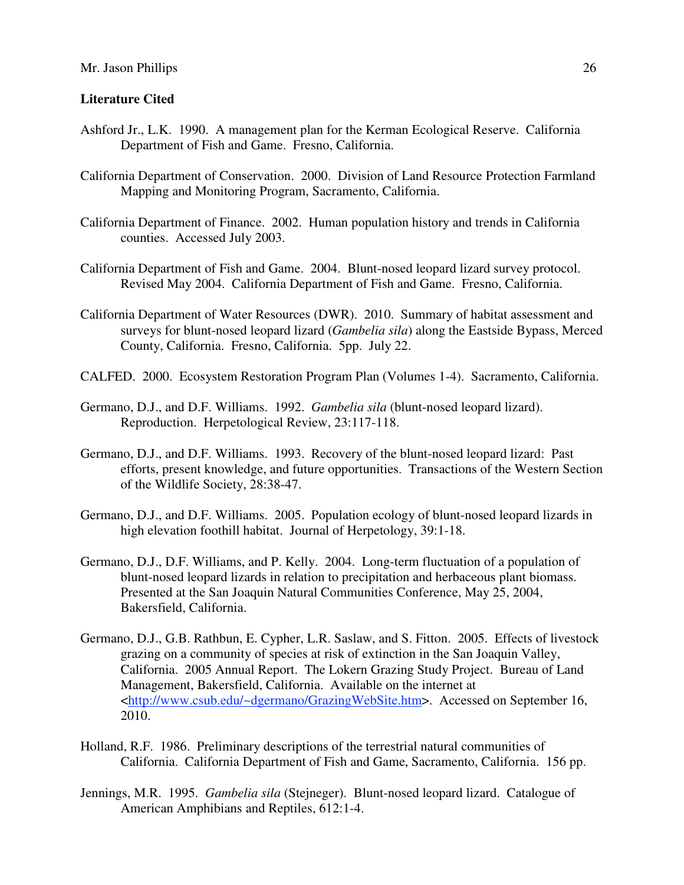### **Literature Cited**

- Ashford Jr., L.K. 1990. A management plan for the Kerman Ecological Reserve. California Department of Fish and Game. Fresno, California.
- California Department of Conservation. 2000. Division of Land Resource Protection Farmland Mapping and Monitoring Program, Sacramento, California.
- California Department of Finance. 2002. Human population history and trends in California counties. Accessed July 2003.
- California Department of Fish and Game. 2004. Blunt-nosed leopard lizard survey protocol. Revised May 2004. California Department of Fish and Game. Fresno, California.
- California Department of Water Resources (DWR). 2010. Summary of habitat assessment and surveys for blunt-nosed leopard lizard (*Gambelia sila*) along the Eastside Bypass, Merced County, California. Fresno, California. 5pp. July 22.
- CALFED. 2000. Ecosystem Restoration Program Plan (Volumes 1-4). Sacramento, California.
- Germano, D.J., and D.F. Williams. 1992. *Gambelia sila* (blunt-nosed leopard lizard). Reproduction. Herpetological Review, 23:117-118.
- Germano, D.J., and D.F. Williams. 1993. Recovery of the blunt-nosed leopard lizard: Past efforts, present knowledge, and future opportunities. Transactions of the Western Section of the Wildlife Society, 28:38-47.
- Germano, D.J., and D.F. Williams. 2005. Population ecology of blunt-nosed leopard lizards in high elevation foothill habitat. Journal of Herpetology, 39:1-18.
- Germano, D.J., D.F. Williams, and P. Kelly. 2004. Long-term fluctuation of a population of blunt-nosed leopard lizards in relation to precipitation and herbaceous plant biomass. Presented at the San Joaquin Natural Communities Conference, May 25, 2004, Bakersfield, California.
- Germano, D.J., G.B. Rathbun, E. Cypher, L.R. Saslaw, and S. Fitton. 2005. Effects of livestock grazing on a community of species at risk of extinction in the San Joaquin Valley, California. 2005 Annual Report. The Lokern Grazing Study Project. Bureau of Land Management, Bakersfield, California. Available on the internet at <http://www.csub.edu/~dgermano/GrazingWebSite.htm>. Accessed on September 16, 2010.
- Holland, R.F. 1986. Preliminary descriptions of the terrestrial natural communities of California. California Department of Fish and Game, Sacramento, California. 156 pp.
- Jennings, M.R. 1995. *Gambelia sila* (Stejneger). Blunt-nosed leopard lizard. Catalogue of American Amphibians and Reptiles, 612:1-4.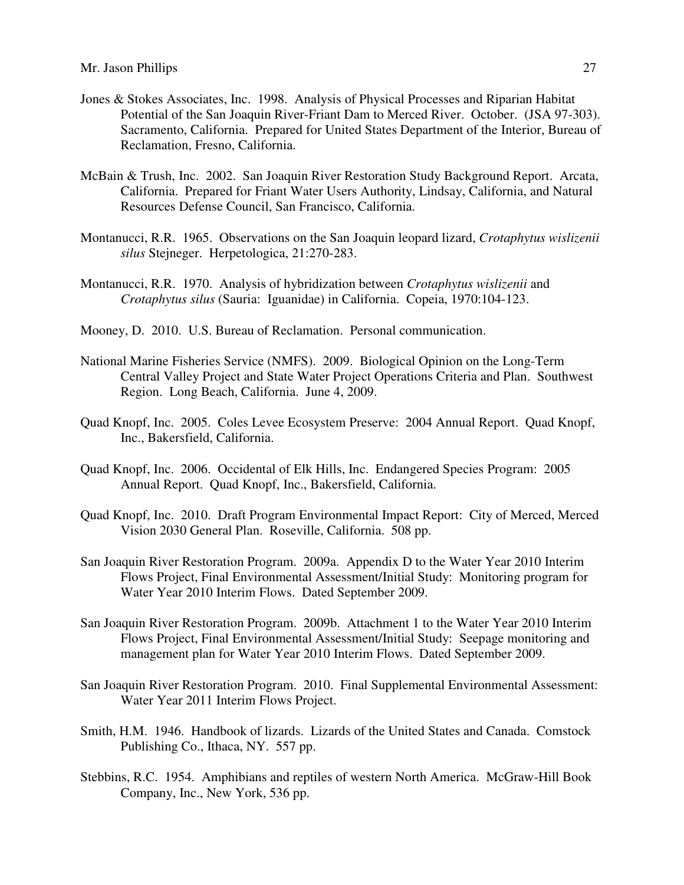- Jones & Stokes Associates, Inc. 1998. Analysis of Physical Processes and Riparian Habitat Potential of the San Joaquin River-Friant Dam to Merced River. October. (JSA 97-303). Sacramento, California. Prepared for United States Department of the Interior, Bureau of Reclamation, Fresno, California.
- McBain & Trush, Inc. 2002. San Joaquin River Restoration Study Background Report. Arcata, California. Prepared for Friant Water Users Authority, Lindsay, California, and Natural Resources Defense Council, San Francisco, California.
- Montanucci, R.R. 1965. Observations on the San Joaquin leopard lizard, *Crotaphytus wislizenii silus* Stejneger. Herpetologica, 21:270-283.
- Montanucci, R.R. 1970. Analysis of hybridization between *Crotaphytus wislizenii* and *Crotaphytus silus* (Sauria: Iguanidae) in California. Copeia, 1970:104-123.
- Mooney, D. 2010. U.S. Bureau of Reclamation. Personal communication.
- National Marine Fisheries Service (NMFS). 2009. Biological Opinion on the Long-Term Central Valley Project and State Water Project Operations Criteria and Plan. Southwest Region. Long Beach, California. June 4, 2009.
- Quad Knopf, Inc. 2005. Coles Levee Ecosystem Preserve: 2004 Annual Report. Quad Knopf, Inc., Bakersfield, California.
- Quad Knopf, Inc. 2006. Occidental of Elk Hills, Inc. Endangered Species Program: 2005 Annual Report. Quad Knopf, Inc., Bakersfield, California.
- Quad Knopf, Inc. 2010. Draft Program Environmental Impact Report: City of Merced, Merced Vision 2030 General Plan. Roseville, California. 508 pp.
- San Joaquin River Restoration Program. 2009a. Appendix D to the Water Year 2010 Interim Flows Project, Final Environmental Assessment/Initial Study: Monitoring program for Water Year 2010 Interim Flows. Dated September 2009.
- San Joaquin River Restoration Program. 2009b. Attachment 1 to the Water Year 2010 Interim Flows Project, Final Environmental Assessment/Initial Study: Seepage monitoring and management plan for Water Year 2010 Interim Flows. Dated September 2009.
- San Joaquin River Restoration Program. 2010. Final Supplemental Environmental Assessment: Water Year 2011 Interim Flows Project.
- Smith, H.M. 1946. Handbook of lizards. Lizards of the United States and Canada. Comstock Publishing Co., Ithaca, NY. 557 pp.
- Stebbins, R.C. 1954. Amphibians and reptiles of western North America. McGraw-Hill Book Company, Inc., New York, 536 pp.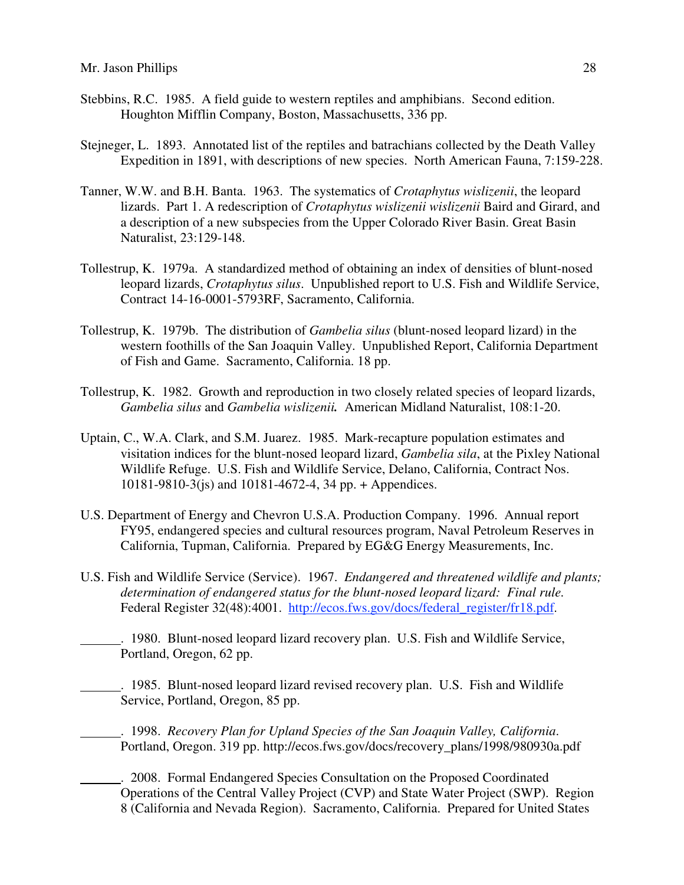- Stebbins, R.C. 1985. A field guide to western reptiles and amphibians. Second edition. Houghton Mifflin Company, Boston, Massachusetts, 336 pp.
- Stejneger, L. 1893. Annotated list of the reptiles and batrachians collected by the Death Valley Expedition in 1891, with descriptions of new species. North American Fauna, 7:159-228.
- Tanner, W.W. and B.H. Banta. 1963. The systematics of *Crotaphytus wislizenii*, the leopard lizards. Part 1. A redescription of *Crotaphytus wislizenii wislizenii* Baird and Girard, and a description of a new subspecies from the Upper Colorado River Basin. Great Basin Naturalist, 23:129-148.
- Tollestrup, K. 1979a. A standardized method of obtaining an index of densities of blunt-nosed leopard lizards, *Crotaphytus silus*. Unpublished report to U.S. Fish and Wildlife Service, Contract 14-16-0001-5793RF, Sacramento, California.
- Tollestrup, K. 1979b. The distribution of *Gambelia silus* (blunt-nosed leopard lizard) in the western foothills of the San Joaquin Valley. Unpublished Report, California Department of Fish and Game. Sacramento, California. 18 pp.
- Tollestrup, K. 1982. Growth and reproduction in two closely related species of leopard lizards, *Gambelia silus* and *Gambelia wislizenii.* American Midland Naturalist, 108:1-20.
- Uptain, C., W.A. Clark, and S.M. Juarez. 1985. Mark-recapture population estimates and visitation indices for the blunt-nosed leopard lizard, *Gambelia sila*, at the Pixley National Wildlife Refuge. U.S. Fish and Wildlife Service, Delano, California, Contract Nos. 10181-9810-3(js) and 10181-4672-4, 34 pp. + Appendices.
- U.S. Department of Energy and Chevron U.S.A. Production Company. 1996. Annual report FY95, endangered species and cultural resources program, Naval Petroleum Reserves in California, Tupman, California. Prepared by EG&G Energy Measurements, Inc.
- U.S. Fish and Wildlife Service (Service). 1967. *Endangered and threatened wildlife and plants; determination of endangered status for the blunt-nosed leopard lizard: Final rule.* Federal Register 32(48):4001. http://ecos.fws.gov/docs/federal\_register/fr18.pdf.

. 1980. Blunt-nosed leopard lizard recovery plan. U.S. Fish and Wildlife Service, Portland, Oregon, 62 pp.

. 1985. Blunt-nosed leopard lizard revised recovery plan. U.S. Fish and Wildlife Service, Portland, Oregon, 85 pp.

. 1998. *Recovery Plan for Upland Species of the San Joaquin Valley, California*. Portland, Oregon. 319 pp. http://ecos.fws.gov/docs/recovery\_plans/1998/980930a.pdf

. 2008. Formal Endangered Species Consultation on the Proposed Coordinated Operations of the Central Valley Project (CVP) and State Water Project (SWP). Region 8 (California and Nevada Region). Sacramento, California. Prepared for United States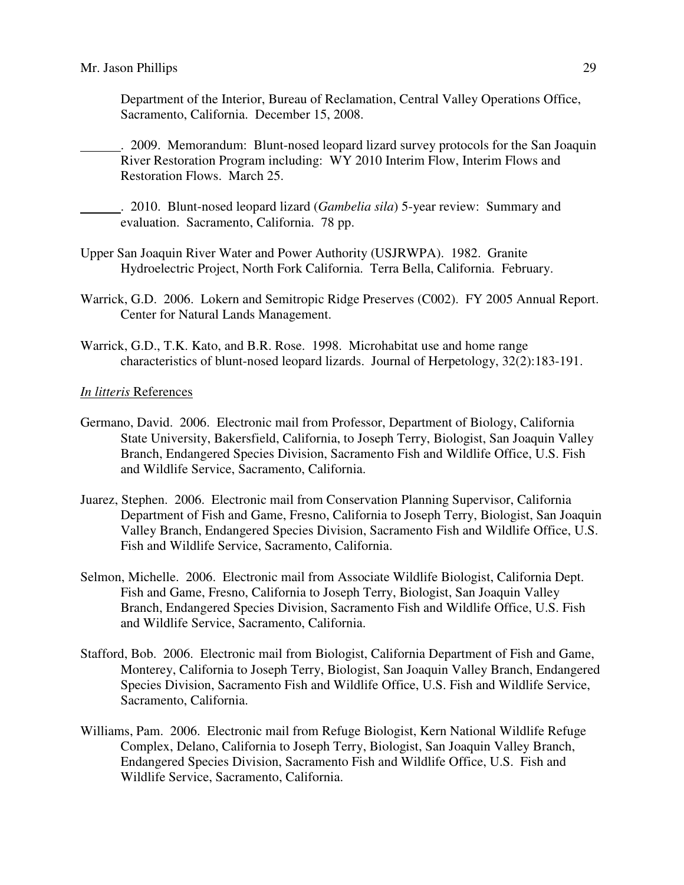Department of the Interior, Bureau of Reclamation, Central Valley Operations Office, Sacramento, California. December 15, 2008.

. 2009. Memorandum: Blunt-nosed leopard lizard survey protocols for the San Joaquin River Restoration Program including: WY 2010 Interim Flow, Interim Flows and Restoration Flows. March 25.

. 2010. Blunt-nosed leopard lizard (*Gambelia sila*) 5-year review: Summary and evaluation. Sacramento, California. 78 pp.

- Upper San Joaquin River Water and Power Authority (USJRWPA). 1982. Granite Hydroelectric Project, North Fork California. Terra Bella, California. February.
- Warrick, G.D. 2006. Lokern and Semitropic Ridge Preserves (C002). FY 2005 Annual Report. Center for Natural Lands Management.
- Warrick, G.D., T.K. Kato, and B.R. Rose. 1998. Microhabitat use and home range characteristics of blunt-nosed leopard lizards. Journal of Herpetology, 32(2):183-191.

#### *In litteris* References

- Germano, David. 2006. Electronic mail from Professor, Department of Biology, California State University, Bakersfield, California, to Joseph Terry, Biologist, San Joaquin Valley Branch, Endangered Species Division, Sacramento Fish and Wildlife Office, U.S. Fish and Wildlife Service, Sacramento, California.
- Juarez, Stephen. 2006. Electronic mail from Conservation Planning Supervisor, California Department of Fish and Game, Fresno, California to Joseph Terry, Biologist, San Joaquin Valley Branch, Endangered Species Division, Sacramento Fish and Wildlife Office, U.S. Fish and Wildlife Service, Sacramento, California.
- Selmon, Michelle. 2006. Electronic mail from Associate Wildlife Biologist, California Dept. Fish and Game, Fresno, California to Joseph Terry, Biologist, San Joaquin Valley Branch, Endangered Species Division, Sacramento Fish and Wildlife Office, U.S. Fish and Wildlife Service, Sacramento, California.
- Stafford, Bob. 2006. Electronic mail from Biologist, California Department of Fish and Game, Monterey, California to Joseph Terry, Biologist, San Joaquin Valley Branch, Endangered Species Division, Sacramento Fish and Wildlife Office, U.S. Fish and Wildlife Service, Sacramento, California.
- Williams, Pam. 2006. Electronic mail from Refuge Biologist, Kern National Wildlife Refuge Complex, Delano, California to Joseph Terry, Biologist, San Joaquin Valley Branch, Endangered Species Division, Sacramento Fish and Wildlife Office, U.S. Fish and Wildlife Service, Sacramento, California.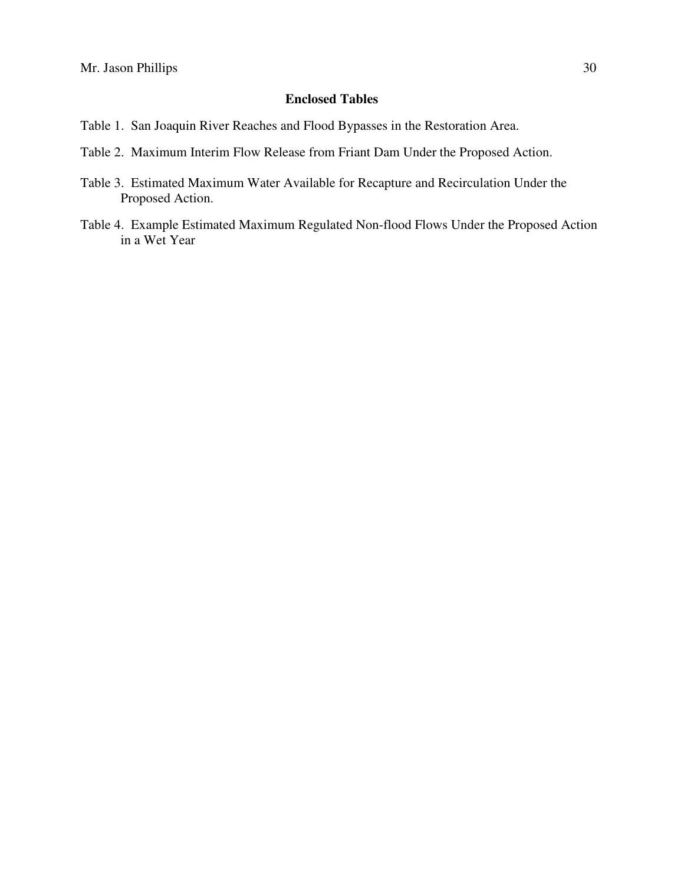# **Enclosed Tables**

- Table 1. San Joaquin River Reaches and Flood Bypasses in the Restoration Area.
- Table 2.Maximum Interim Flow Release from Friant Dam Under the Proposed Action.
- Table 3. Estimated Maximum Water Available for Recapture and Recirculation Under the Proposed Action.
- Table 4. Example Estimated Maximum Regulated Non-flood Flows Under the Proposed Action in a Wet Year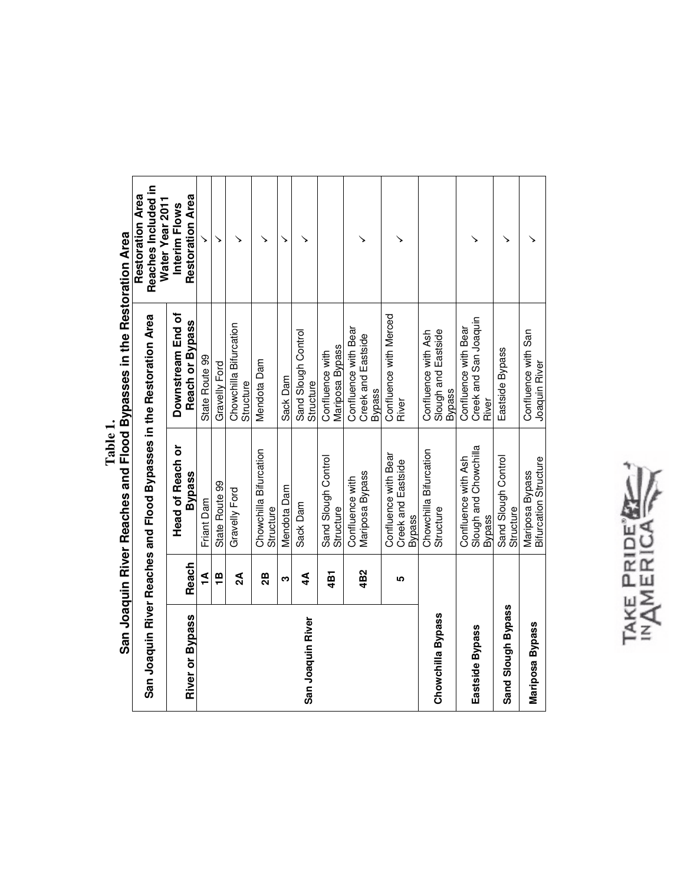|                        |                 |                                                                      | San Joaquin River Reaches and Flood Bypasses in the Restoration Area |                                                            |
|------------------------|-----------------|----------------------------------------------------------------------|----------------------------------------------------------------------|------------------------------------------------------------|
|                        |                 | San Joaquin River Reaches and Flood Bypasses in the Restoration Area |                                                                      | Reaches Included in<br>Restoration Area<br>Water Year 2011 |
|                        |                 | <b>Head of Reach or</b>                                              | Downstream End of                                                    | Interim Flows                                              |
| <b>River or Bypass</b> | Reach           | <b>Bypass</b>                                                        | Reach or Bypass                                                      | <b>Restoration Area</b>                                    |
|                        | ₹               | Friant Dam                                                           | <b>State Route 99</b>                                                |                                                            |
|                        | ë               | State Route 99                                                       | Gravelly Ford                                                        | ↘                                                          |
|                        | $\mathbf{A}$    | Gravelly Ford                                                        | Chowchilla Bifurcation<br>Structure                                  |                                                            |
|                        | 28              | Chowchilla Bifurcation<br>Structure                                  | Mendota Dam                                                          |                                                            |
|                        | ო               | Mendota Dam                                                          | Sack Dam                                                             | ↘                                                          |
| San Joaquin River      | $4\overline{4}$ | Sack Dam                                                             | Sand Slough Control<br>Structure                                     |                                                            |
|                        | 4B1             | Sand Slough Control<br>Structure                                     | Mariposa Bypass<br>Confluence with                                   |                                                            |
|                        | 4B2             | Mariposa Bypass<br>Confluence with                                   | Confluence with Bear<br>Creek and Eastside<br><b>Bypass</b>          |                                                            |
|                        | <b>LO</b>       | Confluence with Bear<br>Creek and Eastside<br><b>Bypass</b>          | Confluence with Merced<br>River                                      |                                                            |
| Chowchilla Bypass      |                 | Chowchilla Bifurcation<br>Structure                                  | Slough and Eastside<br>Confluence with Ash<br><b>Bypass</b>          |                                                            |
| Eastside Bypass        |                 | Slough and Chowchilla<br>Confluence with Ash<br><b>Bypass</b>        | Creek and San Joaquin<br>Confluence with Bear<br>River               |                                                            |
| Sand Slough Bypass     |                 | Sand Slough Control<br>Structure                                     | Eastside Bypass                                                      |                                                            |
| Mariposa Bypass        |                 | <b>Bifurcation Structure</b><br>Mariposa Bypass                      | Confluence with San<br>Joaquin River                                 |                                                            |

Table 1. **Table 1.** 

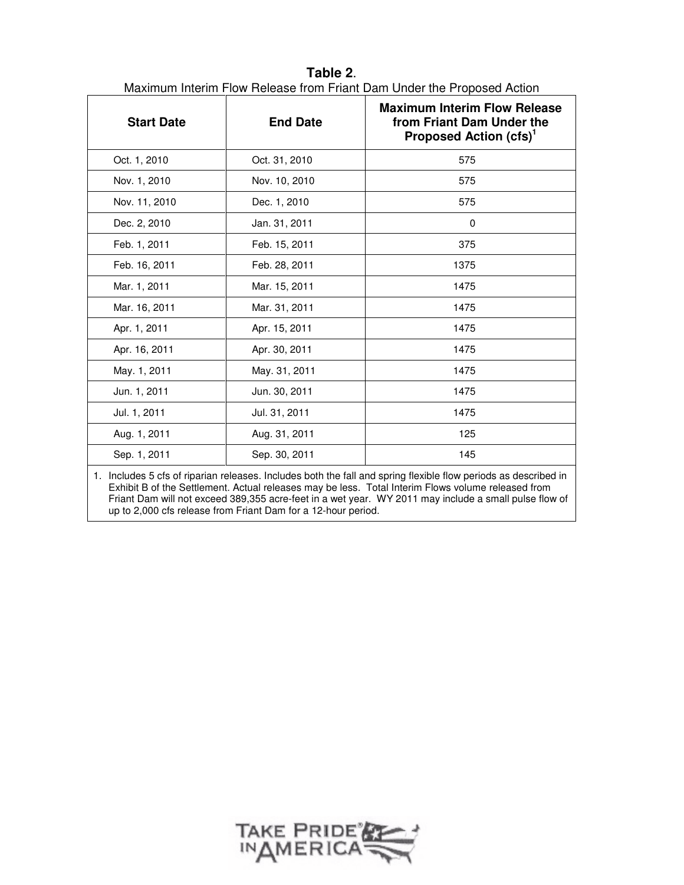| <b>Start Date</b> | <b>End Date</b> | <b>Maximum Interim Flow Release</b><br>from Friant Dam Under the<br>Proposed Action (cfs) <sup>1</sup> |
|-------------------|-----------------|--------------------------------------------------------------------------------------------------------|
| Oct. 1, 2010      | Oct. 31, 2010   | 575                                                                                                    |
| Nov. 1, 2010      | Nov. 10, 2010   | 575                                                                                                    |
| Nov. 11, 2010     | Dec. 1, 2010    | 575                                                                                                    |
| Dec. 2, 2010      | Jan. 31, 2011   | 0                                                                                                      |
| Feb. 1, 2011      | Feb. 15, 2011   | 375                                                                                                    |
| Feb. 16, 2011     | Feb. 28, 2011   | 1375                                                                                                   |
| Mar. 1, 2011      | Mar. 15, 2011   | 1475                                                                                                   |
| Mar. 16, 2011     | Mar. 31, 2011   | 1475                                                                                                   |
| Apr. 1, 2011      | Apr. 15, 2011   | 1475                                                                                                   |
| Apr. 16, 2011     | Apr. 30, 2011   | 1475                                                                                                   |
| May. 1, 2011      | May. 31, 2011   | 1475                                                                                                   |
| Jun. 1, 2011      | Jun. 30, 2011   | 1475                                                                                                   |
| Jul. 1, 2011      | Jul. 31, 2011   | 1475                                                                                                   |
| Aug. 1, 2011      | Aug. 31, 2011   | 125                                                                                                    |
| Sep. 1, 2011      | Sep. 30, 2011   | 145                                                                                                    |

**Table 2**. Maximum Interim Flow Release from Friant Dam Under the Proposed Action

1. Includes 5 cfs of riparian releases. Includes both the fall and spring flexible flow periods as described in Exhibit B of the Settlement. Actual releases may be less. Total Interim Flows volume released from Friant Dam will not exceed 389,355 acre-feet in a wet year. WY 2011 may include a small pulse flow of up to 2,000 cfs release from Friant Dam for a 12-hour period.

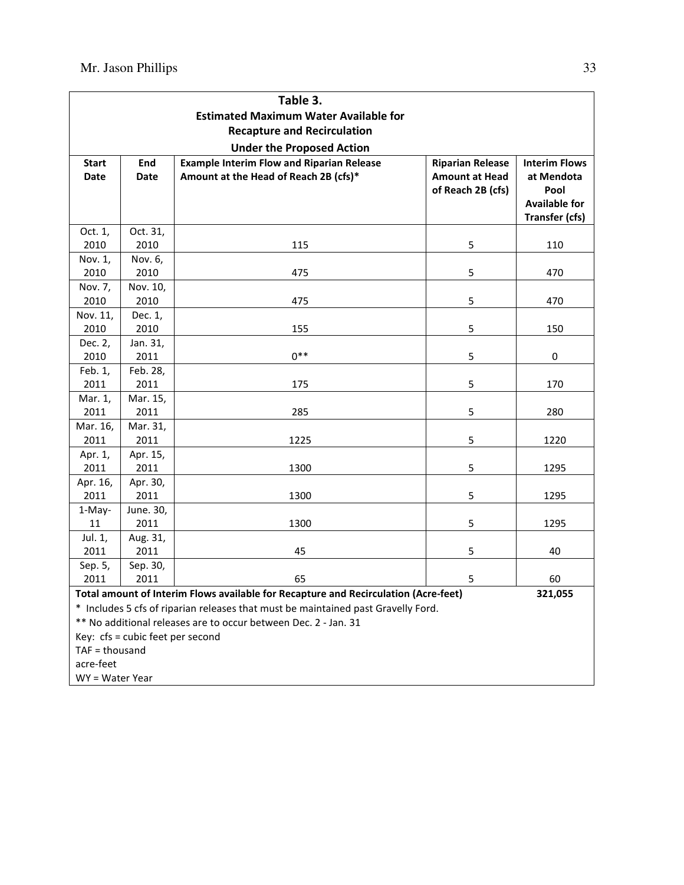|                  |                                  | Table 3.                                                                            |                         |                       |
|------------------|----------------------------------|-------------------------------------------------------------------------------------|-------------------------|-----------------------|
|                  |                                  | <b>Estimated Maximum Water Available for</b>                                        |                         |                       |
|                  |                                  | <b>Recapture and Recirculation</b>                                                  |                         |                       |
|                  |                                  | <b>Under the Proposed Action</b>                                                    |                         |                       |
| <b>Start</b>     | End                              | <b>Example Interim Flow and Riparian Release</b>                                    | <b>Riparian Release</b> | <b>Interim Flows</b>  |
| <b>Date</b>      | <b>Date</b>                      | Amount at the Head of Reach 2B (cfs)*                                               | <b>Amount at Head</b>   | at Mendota            |
|                  |                                  |                                                                                     | of Reach 2B (cfs)       | Pool                  |
|                  |                                  |                                                                                     |                         | <b>Available for</b>  |
|                  |                                  |                                                                                     |                         | <b>Transfer (cfs)</b> |
| Oct. 1,          | Oct. 31,                         |                                                                                     |                         |                       |
| 2010             | 2010                             | 115                                                                                 | 5                       | 110                   |
| Nov. 1,          | Nov. 6,                          |                                                                                     |                         |                       |
| 2010             | 2010                             | 475                                                                                 | 5                       | 470                   |
| Nov. 7,          | Nov. 10,                         | 475                                                                                 | 5                       | 470                   |
| 2010<br>Nov. 11, | 2010                             |                                                                                     |                         |                       |
| 2010             | Dec. 1,<br>2010                  | 155                                                                                 | 5                       | 150                   |
| Dec. 2,          | Jan. 31,                         |                                                                                     |                         |                       |
| 2010             | 2011                             | $0***$                                                                              | 5                       | 0                     |
| Feb. 1,          | Feb. 28,                         |                                                                                     |                         |                       |
| 2011             | 2011                             | 175                                                                                 | 5                       | 170                   |
| Mar. 1,          | Mar. 15,                         |                                                                                     |                         |                       |
| 2011             | 2011                             | 285                                                                                 | 5                       | 280                   |
| Mar. 16,         | Mar. 31,                         |                                                                                     |                         |                       |
| 2011             | 2011                             | 1225                                                                                | 5                       | 1220                  |
| Apr. 1,          | Apr. 15,                         |                                                                                     |                         |                       |
| 2011             | 2011                             | 1300                                                                                | 5                       | 1295                  |
| Apr. 16,         | Apr. 30,                         |                                                                                     |                         |                       |
| 2011             | 2011                             | 1300                                                                                | 5                       | 1295                  |
| 1-May-           | June. 30,                        |                                                                                     |                         |                       |
| 11               | 2011                             | 1300                                                                                | 5                       | 1295                  |
| Jul. 1,          | Aug. 31,                         |                                                                                     |                         |                       |
| 2011             | 2011                             | 45                                                                                  | 5                       | 40                    |
| Sep. 5,          | Sep. 30,                         |                                                                                     |                         |                       |
| 2011             | 2011                             | 65                                                                                  | 5                       | 60                    |
|                  |                                  | Total amount of Interim Flows available for Recapture and Recirculation (Acre-feet) |                         | 321,055               |
|                  |                                  | * Includes 5 cfs of riparian releases that must be maintained past Gravelly Ford.   |                         |                       |
|                  |                                  | ** No additional releases are to occur between Dec. 2 - Jan. 31                     |                         |                       |
|                  | Key: cfs = cubic feet per second |                                                                                     |                         |                       |
| $TAF =$ thousand |                                  |                                                                                     |                         |                       |
| acre-feet        |                                  |                                                                                     |                         |                       |

WY = Water Year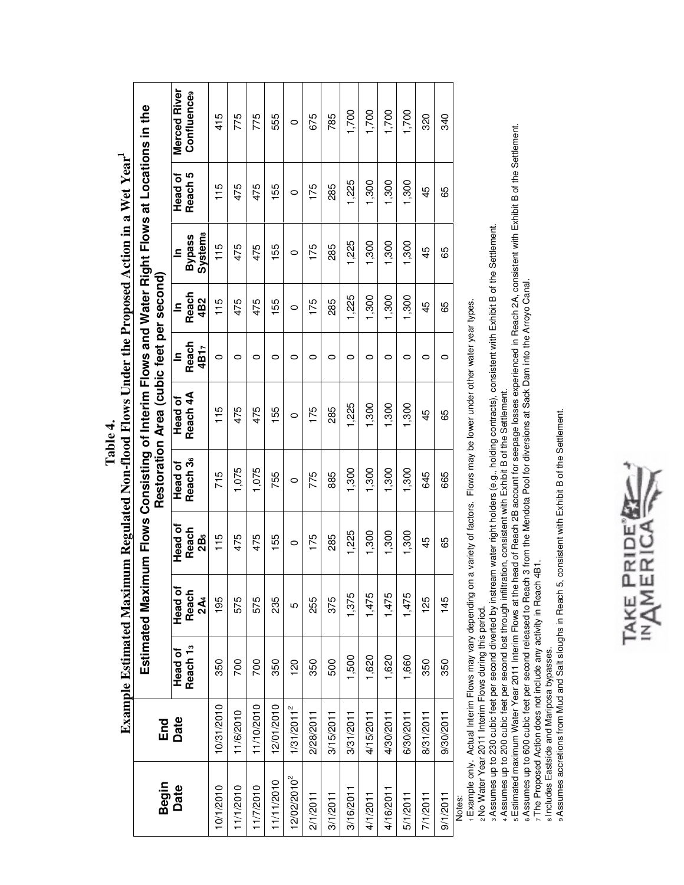|                |                        |                                |                                     |                                     |                                 | EXALIDIE EXEMINE EXPLINATE IN ANTIQUE IN EXTERNA E IN 1999. CHUEL I IN E I I OPOSEU A CHU II A WEL I EAL                     |                               |                              |                                                 |                    |                             |
|----------------|------------------------|--------------------------------|-------------------------------------|-------------------------------------|---------------------------------|------------------------------------------------------------------------------------------------------------------------------|-------------------------------|------------------------------|-------------------------------------------------|--------------------|-----------------------------|
| Begin          | End                    |                                | Estimated Max                       |                                     |                                 | imum Flows Consisting of Interim Flows and Water Right Flows at Locations in the<br>Restoration Area (cubic feet per second) |                               |                              |                                                 |                    |                             |
| Date           | Date                   | Reach <sub>13</sub><br>Head of | Head of<br>Reach<br>2A <sub>4</sub> | Head of<br>Reach<br>2B <sub>5</sub> | Reach 3 <sub>6</sub><br>Head of | Reach 4A<br>Head of                                                                                                          | Reach<br>4B17<br>$\mathbf{S}$ | Reach<br>4B2<br>$\mathbf{S}$ | <b>Systema</b><br><b>Bypass</b><br>$\mathbf{a}$ | Reach 5<br>Head of | Merced River<br>Confluences |
| 10/1/2010      | 10/31/2010             | 350                            | 195                                 | 115                                 | 715                             | 115                                                                                                                          | 0                             | 115                          | 115                                             | 115                | 415                         |
| 11/1/2010      | 11/6/2010              | 700                            | 575                                 | 475                                 | 1,075                           | 475                                                                                                                          | 0                             | 475                          | 475                                             | 475                | 775                         |
| 11/7/2010      | 11/10/2010             | 700                            | 575                                 | 475                                 | 1,075                           | 475                                                                                                                          | 0                             | 475                          | 475                                             | 475                | 775                         |
| 11/11/2010     | 12/01/2010             | 350                            | 235                                 | 155                                 | 755                             | 155                                                                                                                          | $\circ$                       | 155                          | 155                                             | 155                | 555                         |
| $12/02/2010^2$ | 1/31/2011 <sup>2</sup> | 120                            | 5                                   | $\circ$                             | $\circ$                         | $\circ$                                                                                                                      | $\circ$                       | $\circ$                      | $\circ$                                         | $\circ$            | $\circ$                     |
| 2/1/2011       | 2/28/2011              | 350                            | 255                                 | 175                                 | 775                             | 175                                                                                                                          | 0                             | 175                          | 175                                             | 175                | 675                         |
| 3/1/2011       | 3/15/2011              | 500                            | 375                                 | 285                                 | 885                             | 285                                                                                                                          | 0                             | 285                          | 285                                             | 285                | 785                         |
| 3/16/2011      | 3/31/2011              | 1,500                          | 1,375                               | 1,225                               | 1,300                           | 1,225                                                                                                                        | $\circ$                       | 1,225                        | 1,225                                           | 1,225              | 1,700                       |
| 4/1/2011       | 4/15/2011              | 1,620                          | 1,475                               | 1,300                               | 1,300                           | 1,300                                                                                                                        | $\circ$                       | 1,300                        | 1,300                                           | 1,300              | 1,700                       |
| 4/16/2011      | 4/30/2011              | 1,620                          | 1,475                               | 1,300                               | 1,300                           | 1,300                                                                                                                        | $\circ$                       | 1,300                        | 1,300                                           | 1,300              | 1,700                       |
| 5/1/2011       | 6/30/2011              | 1,660                          | 1,475                               | 1,300                               | 1,300                           | 1,300                                                                                                                        | 0                             | 1,300                        | 1,300                                           | 1,300              | 1,700                       |
| 7/1/2011       | 8/31/2011              | 350                            | 125                                 | 45                                  | 645                             | 45                                                                                                                           | $\circ$                       | 45                           | 45                                              | 45                 | 320                         |
| 9/1/2011       | 9/30/2011              | 350                            | 145                                 | 89                                  | 665                             | 65                                                                                                                           | $\circ$                       | 65                           | 65                                              | 65                 | 340                         |
| Notor          |                        |                                |                                     |                                     |                                 |                                                                                                                              |                               |                              |                                                 |                    |                             |

Example Estimated Maximum Regulated Non-flood Flows Under the Proposed Action in a Wet Year. **Example Estimated Maximum Regulated Non-flood Flows Under the Proposed Action in a Wet Year1 Table 4.**  Table 4.

Notes:

1 Example only. Actual Interim Flows may vary depending on a variety of factors. Flows may be lower under other water year types. Example only. Actual Interim Flows may vary depending on a variety of factors. Flows may be lower under other water year types.

2 No Water Year 2011 Interim Flows during this period. No Water Year 2011 Interim Flows during this period. 3 Assumes up to 230 cubic feet per second diverted by instream water right holders (e.g., holding contracts), consistent with Exhibit B of the Settlement.

4 Assumes up to 200 cubic feet per second lost through infiltration, consistent with Exhibit B of the Settlement.

s Assumes up to 230 cubic feet per second diverted by instream water right holders (e.g., holding contracts), consistent with Exhibit B of the Settlement.<br>▲Assumes up to 200 cubic feet per second lost through infiltration 5 Estimated maximum Water Year 2011 Interim Flows at the head of Reach 2B account for seepage losses experienced in Reach 2A, consistent with Exhibit B of the Settlement.

6 Assumes up to 600 cubic feet per second released to Reach 3 from the Mendota Pool for diversions at Sack Dam into the Arroyo Canal. 6 Assumes up to 600 cubic feet per second released to Reach 3 from the Mendota Pool for diversions at Sack Dam into the Arroyo Canal.

7 The Proposed Action does not include any activity in Reach 4B1. 7 The Proposed Action does not include any activity in Reach 4B1.

8 Includes Eastside and Mariposa bypasses. Includes Eastside and Mariposa bypasses.

9 Assumes accretions from Mud and Salt sloughs in Reach 5, consistent with Exhibit B of the Settlement. 9 Assumes accretions from Mud and Salt sloughs in Reach 5, consistent with Exhibit B of the Settlement.

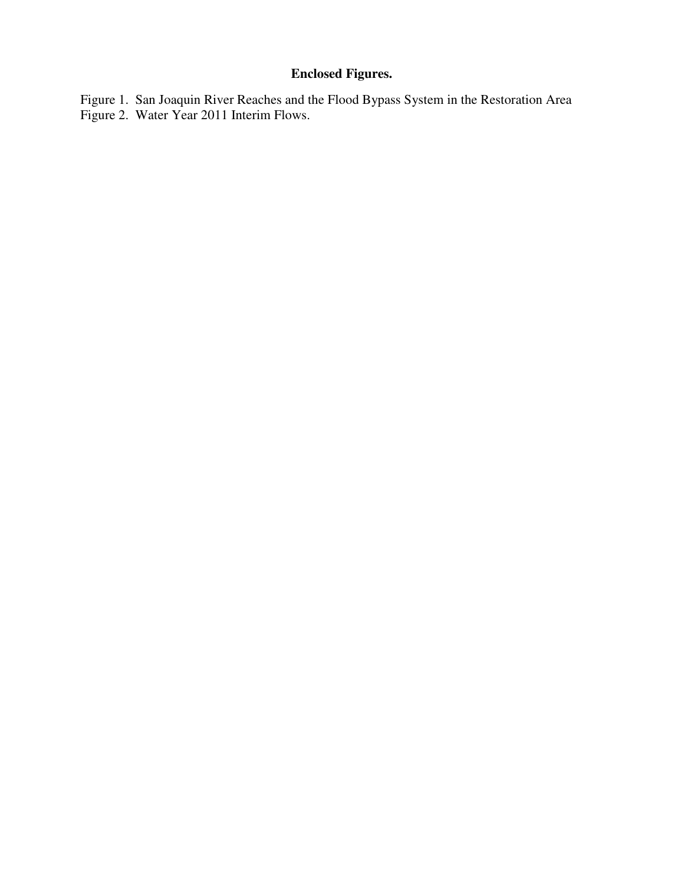# **Enclosed Figures.**

Figure 1. San Joaquin River Reaches and the Flood Bypass System in the Restoration Area Figure 2. Water Year 2011 Interim Flows.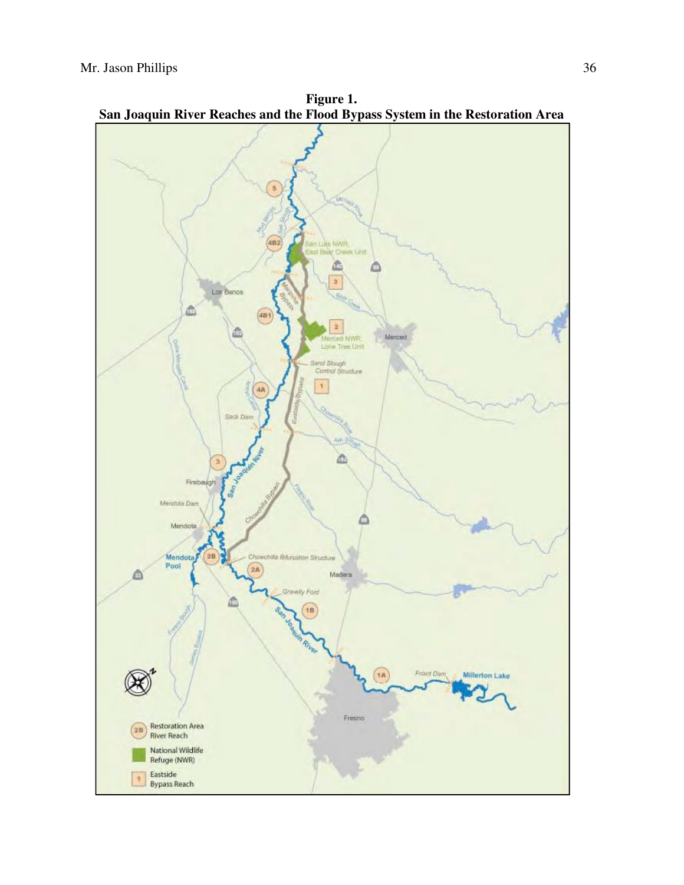

**Figure 1.**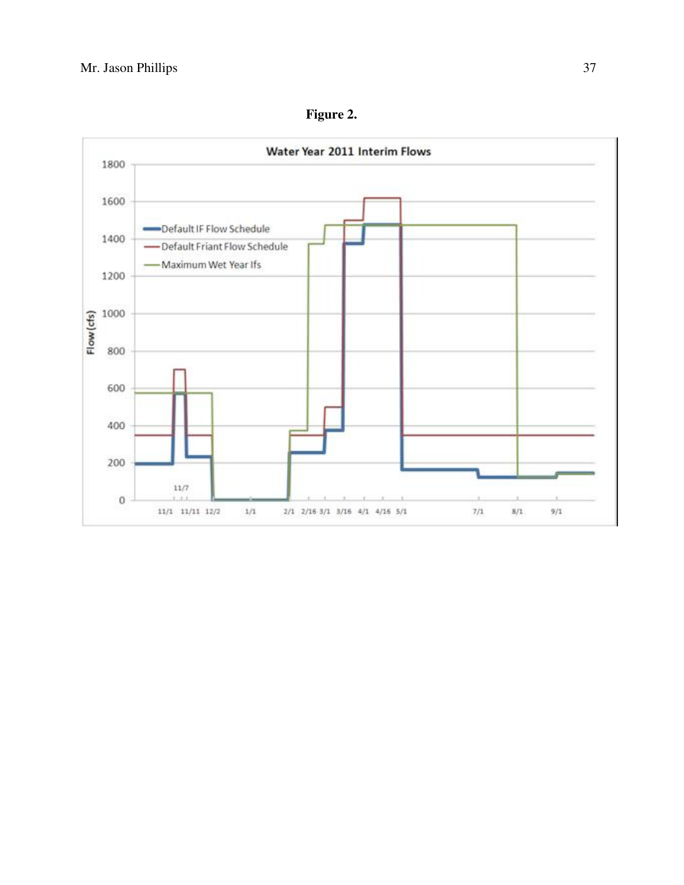

**Figure 2.**